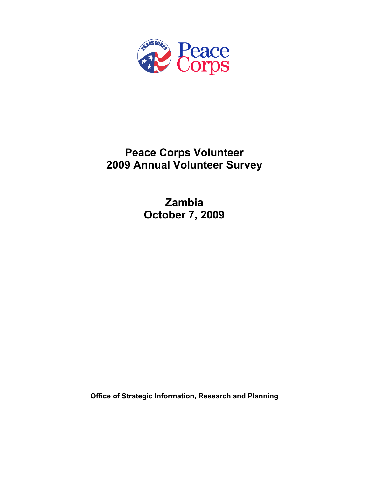

# **Peace Corps Volunteer 2009 Annual Volunteer Survey**

**Zambia October 7, 2009** 

**Office of Strategic Information, Research and Planning**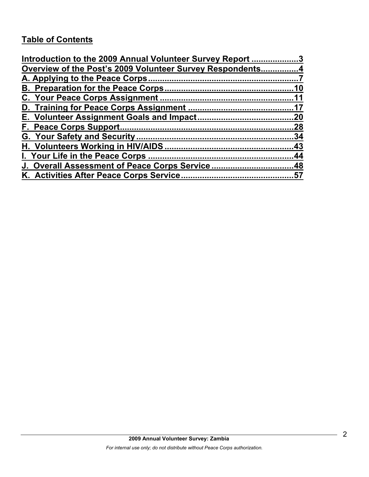# **Table of Contents**

| Introduction to the 2009 Annual Volunteer Survey Report 3 |     |
|-----------------------------------------------------------|-----|
| Overview of the Post's 2009 Volunteer Survey Respondents4 |     |
|                                                           |     |
|                                                           | .10 |
|                                                           |     |
|                                                           |     |
|                                                           |     |
|                                                           | .28 |
|                                                           | 34  |
|                                                           |     |
|                                                           |     |
| J. Overall Assessment of Peace Corps Service48            |     |
|                                                           |     |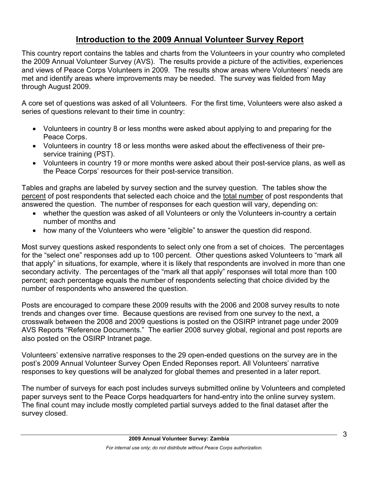# **Introduction to the 2009 Annual Volunteer Survey Report**

This country report contains the tables and charts from the Volunteers in your country who completed the 2009 Annual Volunteer Survey (AVS). The results provide a picture of the activities, experiences and views of Peace Corps Volunteers in 2009. The results show areas where Volunteers' needs are met and identify areas where improvements may be needed. The survey was fielded from May through August 2009.

A core set of questions was asked of all Volunteers. For the first time, Volunteers were also asked a series of questions relevant to their time in country:

- Volunteers in country 8 or less months were asked about applying to and preparing for the Peace Corps.
- Volunteers in country 18 or less months were asked about the effectiveness of their preservice training (PST).
- Volunteers in country 19 or more months were asked about their post-service plans, as well as the Peace Corps' resources for their post-service transition.

Tables and graphs are labeled by survey section and the survey question. The tables show the percent of post respondents that selected each choice and the total number of post respondents that answered the question. The number of responses for each question will vary, depending on:

- whether the question was asked of all Volunteers or only the Volunteers in-country a certain number of months and
- how many of the Volunteers who were "eligible" to answer the question did respond.

Most survey questions asked respondents to select only one from a set of choices. The percentages for the "select one" responses add up to 100 percent. Other questions asked Volunteers to "mark all that apply" in situations, for example, where it is likely that respondents are involved in more than one secondary activity. The percentages of the "mark all that apply" responses will total more than 100 percent; each percentage equals the number of respondents selecting that choice divided by the number of respondents who answered the question.

Posts are encouraged to compare these 2009 results with the 2006 and 2008 survey results to note trends and changes over time. Because questions are revised from one survey to the next, a crosswalk between the 2008 and 2009 questions is posted on the OSIRP intranet page under 2009 AVS Reports "Reference Documents." The earlier 2008 survey global, regional and post reports are also posted on the OSIRP Intranet page.

Volunteers' extensive narrative responses to the 29 open-ended questions on the survey are in the post's 2009 Annual Volunteer Survey Open Ended Reponses report. All Volunteers' narrative responses to key questions will be analyzed for global themes and presented in a later report.

The number of surveys for each post includes surveys submitted online by Volunteers and completed paper surveys sent to the Peace Corps headquarters for hand-entry into the online survey system. The final count may include mostly completed partial surveys added to the final dataset after the survey closed.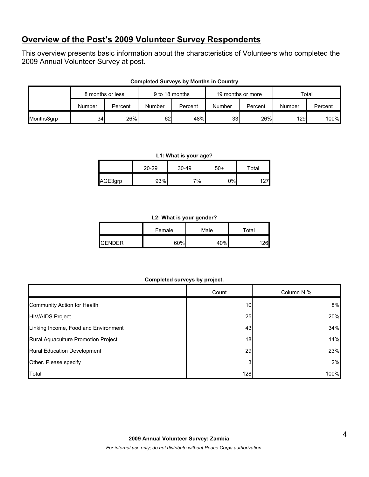# **Overview of the Post's 2009 Volunteer Survey Respondents**

This overview presents basic information about the characteristics of Volunteers who completed the 2009 Annual Volunteer Survey at post.

|            | 8 months or less |         | 9 to 18 months |         | 19 months or more |         | Total  |         |  |
|------------|------------------|---------|----------------|---------|-------------------|---------|--------|---------|--|
|            | Number           | Percent | Number         | Percent | Number            | Percent | Number | Percent |  |
| Months3grp | 34               | 26%     | 62             | 48%     | 33 <sup>1</sup>   | 26%     | 129I   | 100%    |  |

#### **Completed Surveys by Months in Country**

#### **L1: What is your age?**

|         | $20 - 29$ |    | $50+$ | Total |  |
|---------|-----------|----|-------|-------|--|
| AGE3grp | 93%       | 7% | 0%    |       |  |

#### **L2: What is your gender?**

|                 | Female | Male | Total |  |
|-----------------|--------|------|-------|--|
| <b>I</b> GENDER | 60%    | 40%  | 26    |  |

#### **Completed surveys by project.**

|                                      | Count | Column N % |
|--------------------------------------|-------|------------|
| Community Action for Health          | 10    | 8%         |
| <b>HIV/AIDS Project</b>              | 25    | 20%        |
| Linking Income, Food and Environment | 43    | 34%        |
| Rural Aquaculture Promotion Project  | 18    | 14%        |
| <b>Rural Education Development</b>   | 29    | 23%        |
| Other. Please specify                |       | 2%         |
| Total                                | 128   | 100%       |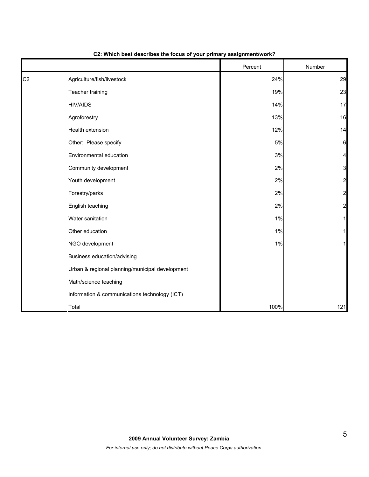|                |                                                 | Percent | Number         |
|----------------|-------------------------------------------------|---------|----------------|
| C <sub>2</sub> | Agriculture/fish/livestock                      | 24%     | 29             |
|                | Teacher training                                | 19%     | 23             |
|                | <b>HIV/AIDS</b>                                 | 14%     | 17             |
|                | Agroforestry                                    | 13%     | 16             |
|                | Health extension                                | 12%     | 14             |
|                | Other: Please specify                           | $5\%$   | 6              |
|                | Environmental education                         | 3%      | 4              |
|                | Community development                           | $2\%$   | 3              |
|                | Youth development                               | 2%      | $\overline{c}$ |
|                | Forestry/parks                                  | 2%      | $\overline{a}$ |
|                | English teaching                                | 2%      | $\overline{a}$ |
|                | Water sanitation                                | 1%      |                |
|                | Other education                                 | 1%      |                |
|                | NGO development                                 | 1%      |                |
|                | Business education/advising                     |         |                |
|                | Urban & regional planning/municipal development |         |                |
|                | Math/science teaching                           |         |                |
|                | Information & communications technology (ICT)   |         |                |
|                | Total                                           | 100%    | 121            |

# **C2: Which best describes the focus of your primary assignment/work?**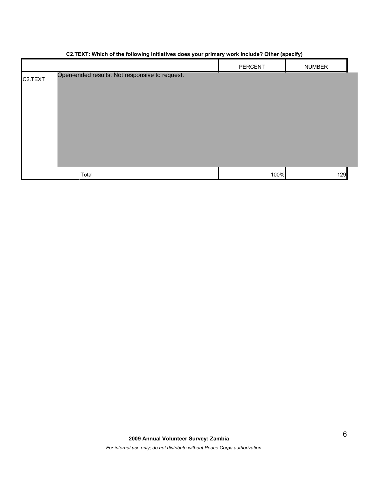# PERCENT NUMBER C2.TEXT Total 100% 129 Open-ended results. Not responsive to request.

## **C2.TEXT: Which of the following initiatives does your primary work include? Other (specify)**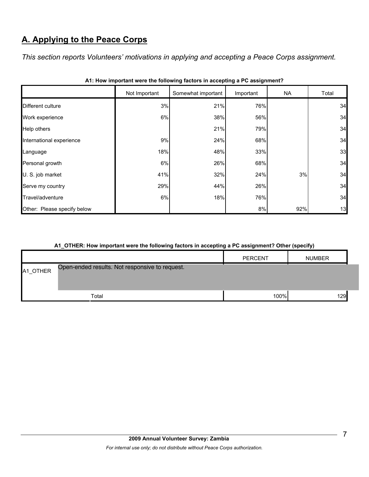# **A. Applying to the Peace Corps**

*This section reports Volunteers' motivations in applying and accepting a Peace Corps assignment.* 

|                             | Not Important | Somewhat important | Important | <b>NA</b> | Total |
|-----------------------------|---------------|--------------------|-----------|-----------|-------|
| Different culture           | 3%            | 21%                | 76%       |           | 34    |
| Work experience             | 6%            | 38%                | 56%       |           | 34    |
| Help others                 |               | 21%                | 79%       |           | 34    |
| International experience    | 9%            | 24%                | 68%       |           | 34    |
| Language                    | 18%           | 48%                | 33%       |           | 33    |
| Personal growth             | 6%            | 26%                | 68%       |           | 34    |
| U. S. job market            | 41%           | 32%                | 24%       | 3%        | 34    |
| Serve my country            | 29%           | 44%                | 26%       |           | 34    |
| Travel/adventure            | 6%            | 18%                | 76%       |           | 34    |
| Other: Please specify below |               |                    | 8%        | 92%       | 13    |

|  |  | A1: How important were the following factors in accepting a PC assignment? |
|--|--|----------------------------------------------------------------------------|
|--|--|----------------------------------------------------------------------------|

#### **A1\_OTHER: How important were the following factors in accepting a PC assignment? Other (specify)**

|          |                                                | <b>PERCENT</b> | <b>NUMBER</b> |  |
|----------|------------------------------------------------|----------------|---------------|--|
| A1_OTHER | Open-ended results. Not responsive to request. |                |               |  |
|          | Total                                          | 100%           | 129           |  |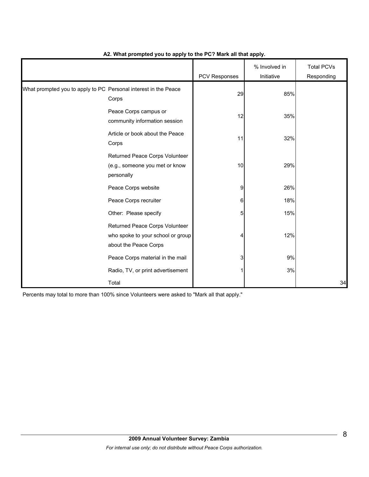|                                                                 |                                                                                              | PCV Responses | % Involved in<br>Initiative | <b>Total PCVs</b><br>Responding |
|-----------------------------------------------------------------|----------------------------------------------------------------------------------------------|---------------|-----------------------------|---------------------------------|
| What prompted you to apply to PC Personal interest in the Peace | Corps                                                                                        | 29            | 85%                         |                                 |
|                                                                 | Peace Corps campus or<br>community information session                                       | 12            | 35%                         |                                 |
|                                                                 | Article or book about the Peace<br>Corps                                                     | 11            | 32%                         |                                 |
|                                                                 | Returned Peace Corps Volunteer<br>(e.g., someone you met or know<br>personally               | 10            | 29%                         |                                 |
|                                                                 | Peace Corps website                                                                          | 9             | 26%                         |                                 |
|                                                                 | Peace Corps recruiter                                                                        | 6             | 18%                         |                                 |
|                                                                 | Other: Please specify                                                                        | 5             | 15%                         |                                 |
|                                                                 | Returned Peace Corps Volunteer<br>who spoke to your school or group<br>about the Peace Corps | 4             | 12%                         |                                 |
|                                                                 | Peace Corps material in the mail                                                             | 3             | 9%                          |                                 |
|                                                                 | Radio, TV, or print advertisement                                                            |               | 3%                          |                                 |
|                                                                 | Total                                                                                        |               |                             | 34                              |

#### **A2. What prompted you to apply to the PC? Mark all that apply.**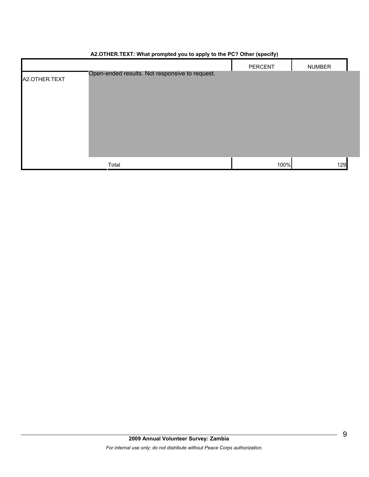|               |                                                | PERCENT | <b>NUMBER</b> |
|---------------|------------------------------------------------|---------|---------------|
| A2.OTHER.TEXT | Open-ended results. Not responsive to request. |         |               |
|               |                                                |         |               |
|               |                                                |         |               |
|               |                                                |         |               |
|               |                                                |         |               |
|               |                                                |         |               |
|               |                                                |         |               |
|               | Total                                          | 100%    | 129           |

# **A2.OTHER.TEXT: What prompted you to apply to the PC? Other (specify)**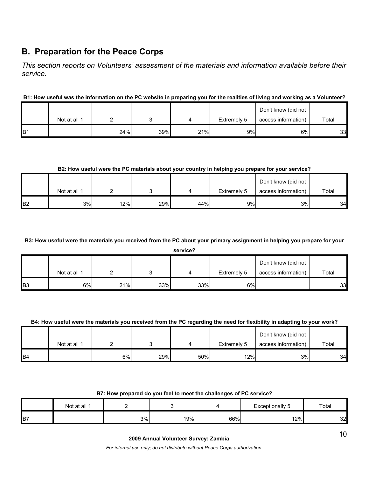# **B. Preparation for the Peace Corps**

*This section reports on Volunteers' assessment of the materials and information available before their service.* 

## **B1: How useful was the information on the PC website in preparing you for the realities of living and working as a Volunteer?**

|                 |              |     |     | Don't know (did not |             |                     |       |
|-----------------|--------------|-----|-----|---------------------|-------------|---------------------|-------|
|                 | Not at all 1 |     |     |                     | Extremely 5 | access information) | Total |
| IB <sub>1</sub> |              | 24% | 39% | 21%                 | 9%          | 6%                  | 33    |

**B2: How useful were the PC materials about your country in helping you prepare for your service?**

|                |              |     |     |     |             | Don't know (did not |       |
|----------------|--------------|-----|-----|-----|-------------|---------------------|-------|
|                | Not at all 1 |     |     |     | Extremely 5 | access information) | Total |
| B <sub>2</sub> | 3%           | 12% | 29% | 44% | 9%          | 3%                  | 34    |

**B3: How useful were the materials you received from the PC about your primary assignment in helping you prepare for your** 

**service?**

|                |              |     |     |     |             | Don't know (did not |       |
|----------------|--------------|-----|-----|-----|-------------|---------------------|-------|
|                | Not at all 1 |     |     |     | Extremely 5 | access information) | Total |
| B <sub>3</sub> | 6%           | 21% | 33% | 33% | 6%          |                     | 33    |

#### **B4: How useful were the materials you received from the PC regarding the need for flexibility in adapting to your work?**

|                | Not at all 1 |    |     |     | Extremely 5 | Don't know (did not<br>Total<br>access information) |    |  |
|----------------|--------------|----|-----|-----|-------------|-----------------------------------------------------|----|--|
| B <sub>4</sub> |              | 6% | 29% | 50% | 12%         | 3%                                                  | 34 |  |

#### **B7: How prepared do you feel to meet the challenges of PC service?**

|    | Not at all 1 |    |     |     | <b>Exceptionally 5</b> | Total |
|----|--------------|----|-----|-----|------------------------|-------|
| B7 |              | 3% | 19% | 66% | 12%                    | 32    |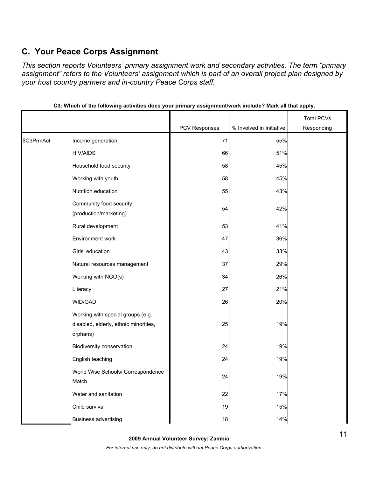# **C. Your Peace Corps Assignment**

*This section reports Volunteers' primary assignment work and secondary activities. The term "primary assignment" refers to the Volunteers' assignment which is part of an overall project plan designed by your host country partners and in-country Peace Corps staff.* 

|            |                                                                                         |               |                          | <b>Total PCVs</b> |
|------------|-----------------------------------------------------------------------------------------|---------------|--------------------------|-------------------|
|            |                                                                                         | PCV Responses | % Involved in Initiative | Responding        |
| \$C3PrmAct | Income generation                                                                       | 71            | 55%                      |                   |
|            | <b>HIV/AIDS</b>                                                                         | 66            | 51%                      |                   |
|            | Household food security                                                                 | 58            | 45%                      |                   |
|            | Working with youth                                                                      | 58            | 45%                      |                   |
|            | Nutrition education                                                                     | 55            | 43%                      |                   |
|            | Community food security<br>(production/marketing)                                       | 54            | 42%                      |                   |
|            | Rural development                                                                       | 53            | 41%                      |                   |
|            | Environment work                                                                        | 47            | 36%                      |                   |
|            | Girls' education                                                                        | 43            | 33%                      |                   |
|            | Natural resources management                                                            | 37            | 29%                      |                   |
|            | Working with NGO(s)                                                                     | 34            | 26%                      |                   |
|            | Literacy                                                                                | 27            | 21%                      |                   |
|            | WID/GAD                                                                                 | 26            | 20%                      |                   |
|            | Working with special groups (e.g.,<br>disabled, elderly, ethnic minorities,<br>orphans) | 25            | 19%                      |                   |
|            | Biodiversity conservation                                                               | 24            | 19%                      |                   |
|            | English teaching                                                                        | 24            | 19%                      |                   |
|            | World Wise Schools/ Correspondence<br>Match                                             | 24            | 19%                      |                   |
|            | Water and sanitation                                                                    | 22            | 17%                      |                   |
|            | Child survival                                                                          | 19            | 15%                      |                   |
|            | <b>Business advertising</b>                                                             | 18            | 14%                      |                   |

**C3: Which of the following activities does your primary assignment/work include? Mark all that apply.**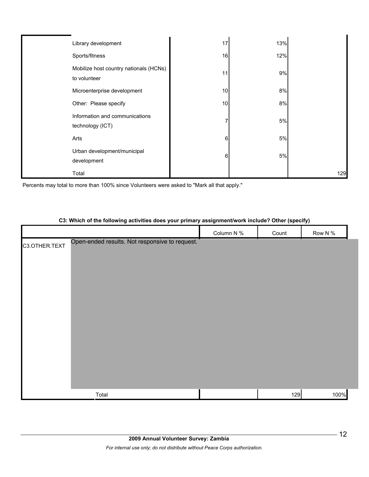| Library development                                    | 17 | 13% |     |
|--------------------------------------------------------|----|-----|-----|
| Sports/fitness                                         | 16 | 12% |     |
| Mobilize host country nationals (HCNs)<br>to volunteer | 11 | 9%  |     |
| Microenterprise development                            | 10 | 8%  |     |
| Other: Please specify                                  | 10 | 8%  |     |
| Information and communications<br>technology (ICT)     |    | 5%  |     |
| Arts                                                   | 6  | 5%  |     |
| Urban development/municipal<br>development             | 6  | 5%  |     |
| Total                                                  |    |     | 129 |

Percents may total to more than 100% since Volunteers were asked to "Mark all that apply."

# **C3: Which of the following activities does your primary assignment/work include? Other (specify)**

|               |                                                | Column N % | Count | Row N % |  |
|---------------|------------------------------------------------|------------|-------|---------|--|
| C3.OTHER.TEXT | Open-ended results. Not responsive to request. |            |       |         |  |
|               |                                                |            |       |         |  |
|               |                                                |            |       |         |  |
|               |                                                |            |       |         |  |
|               |                                                |            |       |         |  |
|               |                                                |            |       |         |  |
|               |                                                |            |       |         |  |
|               |                                                |            |       |         |  |
|               |                                                |            |       |         |  |
|               |                                                |            |       |         |  |
|               |                                                |            |       |         |  |
|               |                                                |            |       |         |  |
|               |                                                |            |       |         |  |
|               | Total                                          |            | 129   | 100%    |  |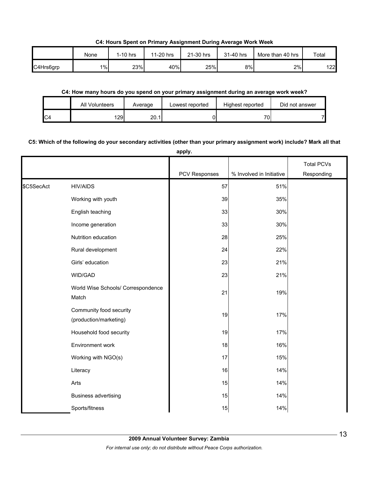**C4: Hours Spent on Primary Assignment During Average Work Week**

|           | None  | $1-10$ hrs | 11-20 hrs | 21-30 hrs | 31-40 hrs | More than 40 hrs | Total |
|-----------|-------|------------|-----------|-----------|-----------|------------------|-------|
| C4Hrs6grp | $1\%$ | 23%        | 40%       | 25%       | 8%        | 2%               | 122   |

#### **C4: How many hours do you spend on your primary assignment during an average work week?**

|                | All Volunteers | Average | Lowest reported | Highest reported | Did not answer |
|----------------|----------------|---------|-----------------|------------------|----------------|
| C <sub>4</sub> | 29             | 20.1    |                 | 701              |                |

## **C5: Which of the following do your secondary activities (other than your primary assignment work) include? Mark all that**

**apply.**

|            |                                                   |               |                          | <b>Total PCVs</b> |
|------------|---------------------------------------------------|---------------|--------------------------|-------------------|
|            |                                                   | PCV Responses | % Involved in Initiative | Responding        |
| \$C5SecAct | <b>HIV/AIDS</b>                                   | 57            | 51%                      |                   |
|            | Working with youth                                | 39            | 35%                      |                   |
|            | English teaching                                  | 33            | 30%                      |                   |
|            | Income generation                                 | 33            | 30%                      |                   |
|            | Nutrition education                               | 28            | 25%                      |                   |
|            | Rural development                                 | 24            | 22%                      |                   |
|            | Girls' education                                  | 23            | 21%                      |                   |
|            | WID/GAD                                           | 23            | 21%                      |                   |
|            | World Wise Schools/ Correspondence<br>Match       | 21            | 19%                      |                   |
|            | Community food security<br>(production/marketing) | 19            | 17%                      |                   |
|            | Household food security                           | 19            | 17%                      |                   |
|            | Environment work                                  | 18            | 16%                      |                   |
|            | Working with NGO(s)                               | 17            | 15%                      |                   |
|            | Literacy                                          | 16            | 14%                      |                   |
|            | Arts                                              | 15            | 14%                      |                   |
|            | <b>Business advertising</b>                       | 15            | 14%                      |                   |
|            | Sports/fitness                                    | 15            | 14%                      |                   |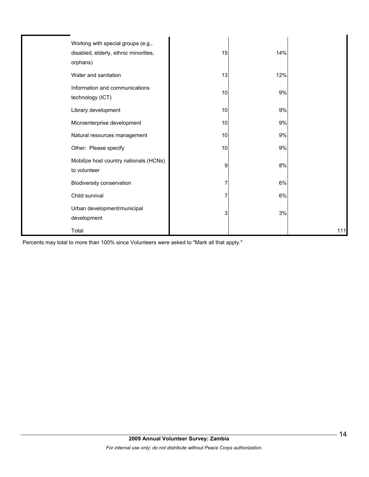| Working with special groups (e.g.,<br>disabled, elderly, ethnic minorities,<br>orphans) | 15 | 14% |     |
|-----------------------------------------------------------------------------------------|----|-----|-----|
| Water and sanitation                                                                    | 13 | 12% |     |
| Information and communications<br>technology (ICT)                                      | 10 | 9%  |     |
| Library development                                                                     | 10 | 9%  |     |
| Microenterprise development                                                             | 10 | 9%  |     |
| Natural resources management                                                            | 10 | 9%  |     |
| Other: Please specify                                                                   | 10 | 9%  |     |
| Mobilize host country nationals (HCNs)<br>to volunteer                                  | 9  | 8%  |     |
| Biodiversity conservation                                                               |    | 6%  |     |
| Child survival                                                                          |    | 6%  |     |
| Urban development/municipal<br>development                                              | 3  | 3%  |     |
| Total                                                                                   |    |     | 111 |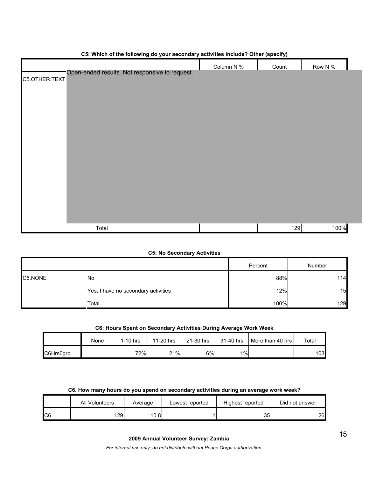| $\sim$ . The constraint of the constraint of the constraint of the constraint $\sim$ (open) $\mu$ | Column N % | Count | Row N % |  |
|---------------------------------------------------------------------------------------------------|------------|-------|---------|--|
| Open-ended results. Not responsive to request.<br>C5.OTHER.TEXT                                   |            |       |         |  |
|                                                                                                   |            |       |         |  |
|                                                                                                   |            |       |         |  |
|                                                                                                   |            |       |         |  |
|                                                                                                   |            |       |         |  |
|                                                                                                   |            |       |         |  |
|                                                                                                   |            |       |         |  |
|                                                                                                   |            |       |         |  |
|                                                                                                   |            |       |         |  |
|                                                                                                   |            |       |         |  |
|                                                                                                   |            |       |         |  |
|                                                                                                   |            |       |         |  |
|                                                                                                   |            |       |         |  |
| Total                                                                                             |            | 129   | 100%    |  |

#### **C5: Which of the following do your secondary activities include? Other (specify)**

#### **C5: No Secondary Activities**

|         |                                     | Percent | Number     |
|---------|-------------------------------------|---------|------------|
| C5.NONE | No                                  |         | 88%<br>114 |
|         | Yes, I have no secondary activities |         | 12%<br>15  |
|         | Total                               | 100%    | 129        |

### **C6: Hours Spent on Secondary Activities During Average Work Week**

|           | None | $1-10$ hrs | 11-20 hrs | 21-30 hrs | 31-40 hrs | More than 40 hrs | Total |
|-----------|------|------------|-----------|-----------|-----------|------------------|-------|
| C6Hrs6grp |      | 72%        | 21%       | 6%        | $1\%$     |                  | 103   |

#### **C6. How many hours do you spend on secondary activities during an average work week?**

|     | All Volunteers | Average | Lowest reported | Highest reported | Did not answer |
|-----|----------------|---------|-----------------|------------------|----------------|
| IC6 | 29I            | 10.8    |                 | 35               | 26             |

*For internal use only; do not distribute without Peace Corps authorization.*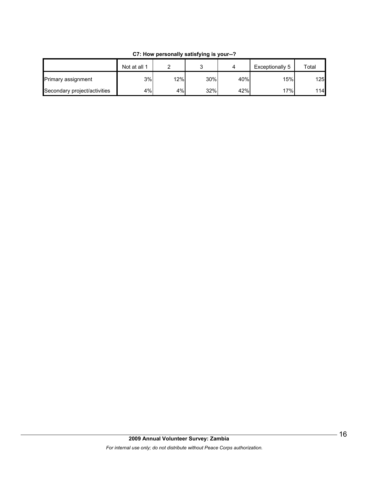|                              | Not at all 1 |     |     |     | Exceptionally 5 | Total |
|------------------------------|--------------|-----|-----|-----|-----------------|-------|
| Primary assignment           | 3%           | 12% | 30% | 40% | 15%             | 125   |
| Secondary project/activities | 4%           | 4%  | 32% | 42% | 17%             | 114   |

**C7: How personally satisfying is your--?**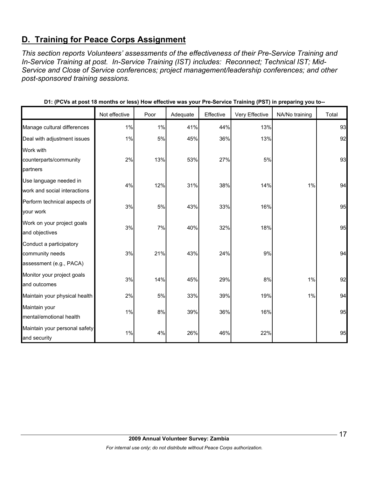# **D. Training for Peace Corps Assignment**

*This section reports Volunteers' assessments of the effectiveness of their Pre-Service Training and In-Service Training at post. In-Service Training (IST) includes: Reconnect; Technical IST; Mid-Service and Close of Service conferences; project management/leadership conferences; and other post-sponsored training sessions.* 

|                                                                       | Not effective | Poor | Adequate | Effective | Very Effective | NA/No training | Total |
|-----------------------------------------------------------------------|---------------|------|----------|-----------|----------------|----------------|-------|
| Manage cultural differences                                           | 1%            | 1%   | 41%      | 44%       | 13%            |                | 93    |
| Deal with adjustment issues                                           | 1%            | 5%   | 45%      | 36%       | 13%            |                | 92    |
| Work with<br>counterparts/community<br>partners                       | 2%            | 13%  | 53%      | 27%       | 5%             |                | 93    |
| Use language needed in<br>work and social interactions                | 4%            | 12%  | 31%      | 38%       | 14%            | 1%             | 94    |
| Perform technical aspects of<br>your work                             | 3%            | 5%   | 43%      | 33%       | 16%            |                | 95    |
| Work on your project goals<br>and objectives                          | 3%            | 7%   | 40%      | 32%       | 18%            |                | 95    |
| Conduct a participatory<br>community needs<br>assessment (e.g., PACA) | 3%            | 21%  | 43%      | 24%       | 9%             |                | 94    |
| Monitor your project goals<br>and outcomes                            | 3%            | 14%  | 45%      | 29%       | 8%             | 1%             | 92    |
| Maintain your physical health                                         | 2%            | 5%   | 33%      | 39%       | 19%            | 1%             | 94    |
| Maintain your<br>mental/emotional health                              | 1%            | 8%   | 39%      | 36%       | 16%            |                | 95    |
| Maintain your personal safety<br>and security                         | 1%            | 4%   | 26%      | 46%       | 22%            |                | 95    |

**D1: (PCVs at post 18 months or less) How effective was your Pre-Service Training (PST) in preparing you to--**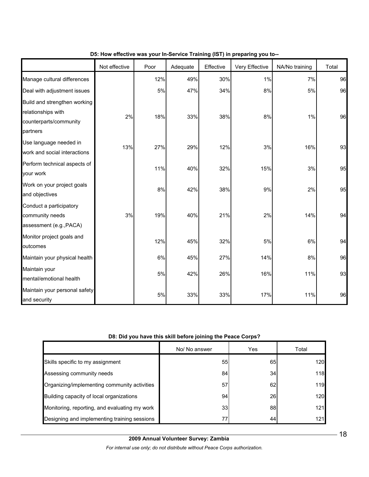|                                                                                          | Not effective | Poor | Adequate | Effective | Very Effective | NA/No training | Total |
|------------------------------------------------------------------------------------------|---------------|------|----------|-----------|----------------|----------------|-------|
| Manage cultural differences                                                              |               | 12%  | 49%      | 30%       | 1%             | 7%             | 96    |
| Deal with adjustment issues                                                              |               | 5%   | 47%      | 34%       | $8\%$          | 5%             | 96    |
| Build and strengthen working<br>relationships with<br>counterparts/community<br>partners | 2%            | 18%  | 33%      | 38%       | $8\%$          | 1%             | 96    |
| Use language needed in<br>work and social interactions                                   | 13%           | 27%  | 29%      | 12%       | 3%             | 16%            | 93    |
| Perform technical aspects of<br>your work                                                |               | 11%  | 40%      | 32%       | 15%            | 3%             | 95    |
| Work on your project goals<br>and objectives                                             |               | 8%   | 42%      | 38%       | 9%             | 2%             | 95    |
| Conduct a participatory<br>community needs<br>assessment (e.g., PACA)                    | 3%            | 19%  | 40%      | 21%       | 2%             | 14%            | 94    |
| Monitor project goals and<br>outcomes                                                    |               | 12%  | 45%      | 32%       | 5%             | 6%             | 94    |
| Maintain your physical health                                                            |               | 6%   | 45%      | 27%       | 14%            | 8%             | 96    |
| Maintain your<br>mental/emotional health                                                 |               | 5%   | 42%      | 26%       | 16%            | 11%            | 93    |
| Maintain your personal safety<br>and security                                            |               | 5%   | 33%      | 33%       | 17%            | 11%            | 96    |

## **D5: How effective was your In-Service Training (IST) in preparing you to--**

#### **D8: Did you have this skill before joining the Peace Corps?**

|                                               | No/ No answer | Yes | Total |
|-----------------------------------------------|---------------|-----|-------|
| Skills specific to my assignment              | 55            | 65  | 120   |
| Assessing community needs                     | 84            | 34  | 118   |
| Organizing/implementing community activities  | 57            | 62  | 119   |
| Building capacity of local organizations      | 94            | 26  | 120   |
| Monitoring, reporting, and evaluating my work | 33            | 88  | 121   |
| Designing and implementing training sessions  | 77            | 44  | 121   |

*For internal use only; do not distribute without Peace Corps authorization.*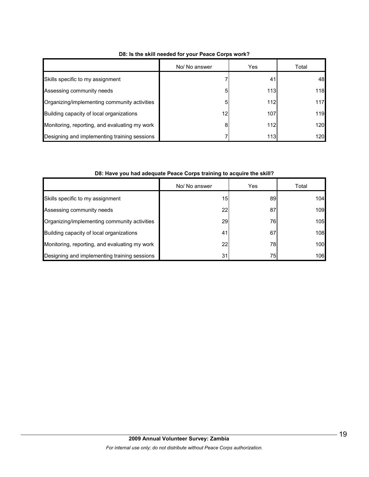|                                               | No/ No answer | Yes | Total |
|-----------------------------------------------|---------------|-----|-------|
| Skills specific to my assignment              |               | 41  | 48    |
| Assessing community needs                     |               | 113 | 118   |
| Organizing/implementing community activities  | 5             | 112 | 117   |
| Building capacity of local organizations      | 12            | 107 | 119   |
| Monitoring, reporting, and evaluating my work | 8             | 112 | 120   |
| Designing and implementing training sessions  |               | 113 | 120   |

#### **D8: Is the skill needed for your Peace Corps work?**

#### **D8: Have you had adequate Peace Corps training to acquire the skill?**

|                                               | No/ No answer | Yes | Total |
|-----------------------------------------------|---------------|-----|-------|
| Skills specific to my assignment              | 15            | 89  | 104   |
| Assessing community needs                     | 22            | 87  | 109   |
| Organizing/implementing community activities  | 29            | 76I | 105   |
| Building capacity of local organizations      | 41            | 67  | 108   |
| Monitoring, reporting, and evaluating my work | 22            | 78I | 100   |
| Designing and implementing training sessions  | 31            | 751 | 106   |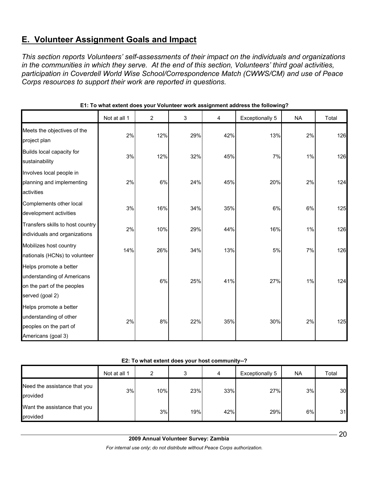# **E. Volunteer Assignment Goals and Impact**

*This section reports Volunteers' self-assessments of their impact on the individuals and organizations in the communities in which they serve. At the end of this section, Volunteers' third goal activities, participation in Coverdell World Wise School/Correspondence Match (CWWS/CM) and use of Peace Corps resources to support their work are reported in questions.* 

|                                                                                                       | Not at all 1 | $\overline{2}$ | 3   | 4   | Exceptionally 5 | <b>NA</b> | Total |
|-------------------------------------------------------------------------------------------------------|--------------|----------------|-----|-----|-----------------|-----------|-------|
| Meets the objectives of the<br>project plan                                                           | 2%           | 12%            | 29% | 42% | 13%             | 2%        | 126   |
| Builds local capacity for<br>sustainability                                                           | 3%           | 12%            | 32% | 45% | 7%              | 1%        | 126   |
| Involves local people in<br>planning and implementing<br>activities                                   | 2%           | 6%             | 24% | 45% | 20%             | 2%        | 124   |
| Complements other local<br>development activities                                                     | 3%           | 16%            | 34% | 35% | 6%              | 6%        | 125   |
| Transfers skills to host country<br>individuals and organizations                                     | 2%           | 10%            | 29% | 44% | 16%             | 1%        | 126   |
| Mobilizes host country<br>nationals (HCNs) to volunteer                                               | 14%          | 26%            | 34% | 13% | 5%              | 7%        | 126   |
| Helps promote a better<br>understanding of Americans<br>on the part of the peoples<br>served (goal 2) |              | 6%             | 25% | 41% | 27%             | 1%        | 124   |
| Helps promote a better<br>understanding of other<br>peoples on the part of<br>Americans (goal 3)      | 2%           | 8%             | 22% | 35% | 30%             | 2%        | 125   |

#### **E1: To what extent does your Volunteer work assignment address the following?**

#### **E2: To what extent does your host community--?**

|                                          | Not at all 1 | ົ   | s.  | 4   | Exceptionally 5 | <b>NA</b> | Total |
|------------------------------------------|--------------|-----|-----|-----|-----------------|-----------|-------|
| Need the assistance that you<br>provided | 3%           | 10% | 23% | 33% | 27%             | 3%        | 30    |
| Want the assistance that you<br>provided |              | 3%  | 19% | 42% | 29%             | 6%        | 31    |

*For internal use only; do not distribute without Peace Corps authorization.*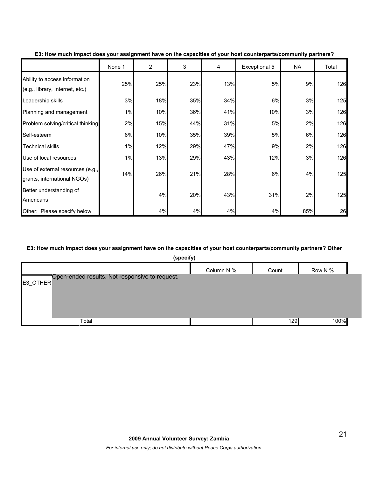|                                                                  | None 1 | $\overline{2}$ | 3   | 4   | Exceptional 5 | NA  | Total |
|------------------------------------------------------------------|--------|----------------|-----|-----|---------------|-----|-------|
| Ability to access information<br>(e.g., library, Internet, etc.) | 25%    | 25%            | 23% | 13% | 5%            | 9%  | 126   |
| Leadership skills                                                | 3%     | 18%            | 35% | 34% | 6%            | 3%  | 125   |
| Planning and management                                          | 1%     | 10%            | 36% | 41% | 10%           | 3%  | 126   |
| Problem solving/critical thinking                                | 2%     | 15%            | 44% | 31% | 5%            | 2%  | 126   |
| Self-esteem                                                      | 6%     | 10%            | 35% | 39% | 5%            | 6%  | 126   |
| <b>Technical skills</b>                                          | 1%     | 12%            | 29% | 47% | 9%            | 2%  | 126   |
| Use of local resources                                           | 1%     | 13%            | 29% | 43% | 12%           | 3%  | 126   |
| Use of external resources (e.g.,<br>grants, international NGOs)  | 14%    | 26%            | 21% | 28% | 6%            | 4%  | 125   |
| Better understanding of<br>Americans                             |        | 4%             | 20% | 43% | 31%           | 2%  | 125   |
| Other: Please specify below                                      |        | 4%             | 4%  | 4%  | 4%            | 85% | 26    |

#### **E3: How much impact does your assignment have on the capacities of your host counterparts/community partners?**

#### **E3: How much impact does your assignment have on the capacities of your host counterparts/community partners? Other**

| (specify)                                                  |            |       |         |
|------------------------------------------------------------|------------|-------|---------|
|                                                            | Column N % | Count | Row N % |
| Open-ended results. Not responsive to request.<br>E3_OTHER |            |       |         |
| Total                                                      |            | 129   | 100%    |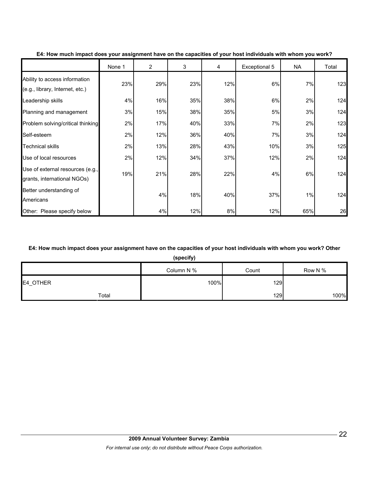|                                                                  | None 1 | 2   | 3   | 4   | Exceptional 5 | NA  | Total |
|------------------------------------------------------------------|--------|-----|-----|-----|---------------|-----|-------|
| Ability to access information<br>(e.g., library, Internet, etc.) | 23%    | 29% | 23% | 12% | 6%            | 7%  | 123   |
| Leadership skills                                                | 4%     | 16% | 35% | 38% | 6%            | 2%  | 124   |
| Planning and management                                          | 3%     | 15% | 38% | 35% | 5%            | 3%  | 124   |
| Problem solving/critical thinking                                | 2%     | 17% | 40% | 33% | 7%            | 2%  | 123   |
| Self-esteem                                                      | 2%     | 12% | 36% | 40% | 7%            | 3%  | 124   |
| <b>Technical skills</b>                                          | 2%     | 13% | 28% | 43% | 10%           | 3%  | 125   |
| Use of local resources                                           | 2%     | 12% | 34% | 37% | 12%           | 2%  | 124   |
| Use of external resources (e.g.,<br>grants, international NGOs)  | 19%    | 21% | 28% | 22% | 4%            | 6%  | 124   |
| Better understanding of<br>Americans                             |        | 4%  | 18% | 40% | 37%           | 1%  | 124   |
| Other: Please specify below                                      |        | 4%  | 12% | 8%  | 12%           | 65% | 26    |

#### **E4: How much impact does your assignment have on the capacities of your host individuals with whom you work?**

#### **E4: How much impact does your assignment have on the capacities of your host individuals with whom you work? Other**

**(specify)**

|          | Column N % | Count | Row N % |
|----------|------------|-------|---------|
| E4_OTHER | 100%       | 129   |         |
| Total    |            | 129   | 100%    |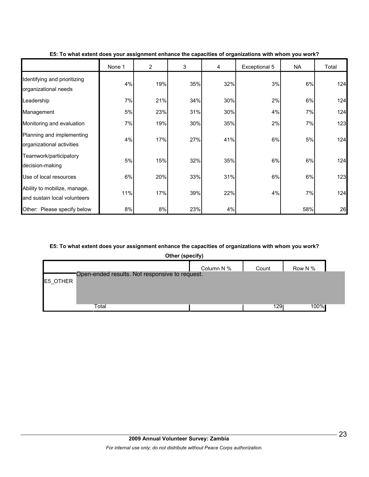|                                                              | None 1 | $\overline{2}$ | 3   | 4   | Exceptional 5 | <b>NA</b> | Total |
|--------------------------------------------------------------|--------|----------------|-----|-----|---------------|-----------|-------|
| Identifying and prioritizing<br>organizational needs         | 4%     | 19%            | 35% | 32% | 3%            | 6%        | 124   |
| Leadership                                                   | 7%     | 21%            | 34% | 30% | 2%            | 6%        | 124   |
| Management                                                   | 5%     | 23%            | 31% | 30% | 4%            | 7%        | 124   |
| Monitoring and evaluation                                    | 7%     | 19%            | 30% | 35% | 2%            | 7%        | 123   |
| Planning and implementing<br>organizational activities       | 4%     | 17%            | 27% | 41% | 6%            | 5%        | 124   |
| Teamwork/participatory<br>decision-making                    | 5%     | 15%            | 32% | 35% | $6\%$         | 6%        | 124   |
| Use of local resources                                       | 6%     | 20%            | 33% | 31% | 6%            | 6%        | 123   |
| Ability to mobilize, manage,<br>and sustain local volunteers | 11%    | 17%            | 39% | 22% | 4%            | 7%        | 124   |
| Other: Please specify below                                  | 8%     | 8%             | 23% | 4%  |               | 58%       | 26    |

**E5: To what extent does your assignment enhance the capacities of organizations with whom you work?**

### **E5: To what extent does your assignment enhance the capacities of organizations with whom you work?**

|          | Other (specify)                                |            |       |         |
|----------|------------------------------------------------|------------|-------|---------|
|          |                                                | Column N % | Count | Row N % |
|          | Open-ended results. Not responsive to request. |            |       |         |
|          |                                                |            |       |         |
|          |                                                |            |       |         |
|          |                                                |            |       |         |
|          | Total                                          |            | 1291  | 100%l   |
| E5_OTHER |                                                |            |       |         |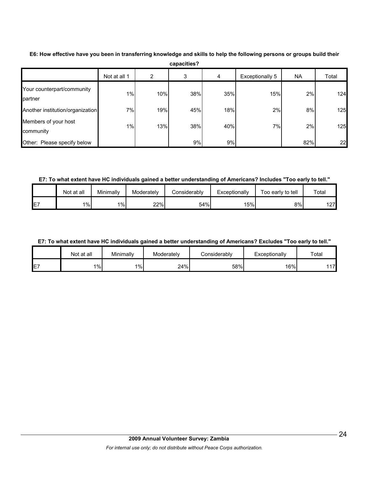|                                       | Not at all 1 |     | 3   | 4   | Exceptionally 5 | <b>NA</b> | Total      |
|---------------------------------------|--------------|-----|-----|-----|-----------------|-----------|------------|
| Your counterpart/community<br>partner | 1%           | 10% | 38% | 35% | 15%             | 2%        | <b>124</b> |
| Another institution/organization      | 7%           | 19% | 45% | 18% | 2%              | 8%        | 125        |
| Members of your host<br>community     | 1%           | 13% | 38% | 40% | 7%              | 2%        | 125        |
| Other: Please specify below           |              |     | 9%  | 9%  |                 | 82%       | 22         |

**E6: How effective have you been in transferring knowledge and skills to help the following persons or groups build their capacities?**

**E7: To what extent have HC individuals gained a better understanding of Americans? Includes "Too early to tell."**

|    | Not at all | Minimally | Moderatelv | <b>Considerably</b> | Exceptionally | Too early to tell | $\tau$ otal |
|----|------------|-----------|------------|---------------------|---------------|-------------------|-------------|
| E7 | $1\%$      | $1\%$     | 22%        | 54%                 | 15%           | 8%                | 1271<br>ے ا |

#### **E7: To what extent have HC individuals gained a better understanding of Americans? Excludes "Too early to tell."**

|    | Not at all | Minimally | Moderately | Considerablv | Exceptionally | Total |
|----|------------|-----------|------------|--------------|---------------|-------|
| E7 | $1\%$      | $1\%$     | 24%        | 58%          | 16%           | 1171  |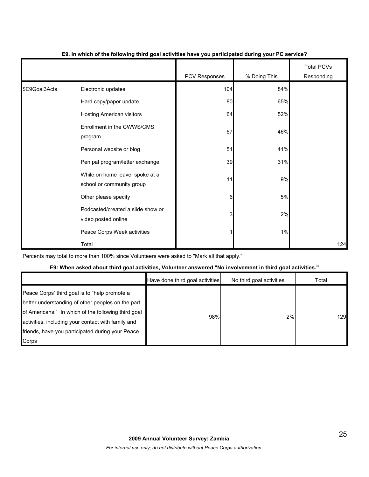|               |                                                              | <b>PCV Responses</b> | % Doing This | <b>Total PCVs</b><br>Responding |
|---------------|--------------------------------------------------------------|----------------------|--------------|---------------------------------|
| \$E9Goal3Acts | Electronic updates                                           | 104                  | 84%          |                                 |
|               | Hard copy/paper update                                       | 80                   | 65%          |                                 |
|               | Hosting American visitors                                    | 64                   | 52%          |                                 |
|               | Enrollment in the CWWS/CMS<br>program                        | 57                   | 46%          |                                 |
|               | Personal website or blog                                     | 51                   | 41%          |                                 |
|               | Pen pal program/letter exchange                              | 39                   | 31%          |                                 |
|               | While on home leave, spoke at a<br>school or community group | 11                   | 9%           |                                 |
|               | Other please specify                                         | $6 \overline{6}$     | 5%           |                                 |
|               | Podcasted/created a slide show or<br>video posted online     | 3                    | 2%           |                                 |
|               | Peace Corps Week activities                                  |                      | 1%           |                                 |
|               | Total                                                        |                      |              | 124                             |

#### **E9. In which of the following third goal activities have you participated during your PC service?**

Percents may total to more than 100% since Volunteers were asked to "Mark all that apply."

#### **E9: When asked about third goal activities, Volunteer answered "No involvement in third goal activities."**

|                                                                                                                                                                                                                                                                              | Have done third goal activities | No third goal activities | Total |
|------------------------------------------------------------------------------------------------------------------------------------------------------------------------------------------------------------------------------------------------------------------------------|---------------------------------|--------------------------|-------|
| Peace Corps' third goal is to "help promote a<br>better understanding of other peoples on the part<br>of Americans." In which of the following third goal<br>activities, including your contact with family and<br>friends, have you participated during your Peace<br>Corps | 98%                             | 2%                       | 1291  |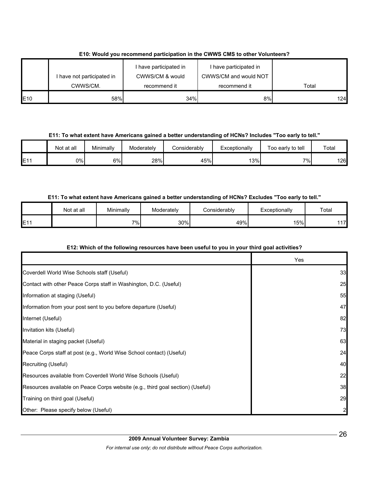|                 | have not participated in<br>CWWS/CM. | I have participated in<br>CWWS/CM & would<br>recommend it | I have participated in<br>CWWS/CM and would NOT<br>recommend it | Total |
|-----------------|--------------------------------------|-----------------------------------------------------------|-----------------------------------------------------------------|-------|
| E <sub>10</sub> | 58%                                  | 34%                                                       | 8%                                                              | 124   |

# **E10: Would you recommend participation in the CWWS CMS to other Volunteers?**

**E11: To what extent have Americans gained a better understanding of HCNs? Includes "Too early to tell."**

|                 | Not at all | Minimally | Moderately | Considerably | Exceptionally | Too early to tell | Total |
|-----------------|------------|-----------|------------|--------------|---------------|-------------------|-------|
| E <sub>11</sub> | 0%I        | 6%        | 28%        | 45%          | 13%           | 7%                | 126   |

## **E11: To what extent have Americans gained a better understanding of HCNs? Excludes "Too early to tell."**

|                          | Not at all | Minimally | Moderately | onsiderablvٽ | Exceptionally | Total |
|--------------------------|------------|-----------|------------|--------------|---------------|-------|
| <b>E11</b><br><b>⊢</b> ⊧ |            | $7\%$     | 30%        | 49%          | 5%            | 17    |

#### **E12: Which of the following resources have been useful to you in your third goal activities?**

|                                                                                | Yes |
|--------------------------------------------------------------------------------|-----|
| Coverdell World Wise Schools staff (Useful)                                    | 33  |
| Contact with other Peace Corps staff in Washington, D.C. (Useful)              | 25  |
| Information at staging (Useful)                                                | 55  |
| Information from your post sent to you before departure (Useful)               | 47  |
| Internet (Useful)                                                              | 82  |
| Invitation kits (Useful)                                                       | 73  |
| Material in staging packet (Useful)                                            | 63  |
| Peace Corps staff at post (e.g., World Wise School contact) (Useful)           | 24  |
| Recruiting (Useful)                                                            | 40  |
| Resources available from Coverdell World Wise Schools (Useful)                 | 22  |
| Resources available on Peace Corps website (e.g., third goal section) (Useful) | 38  |
| Training on third goal (Useful)                                                | 29  |
| Other: Please specify below (Useful)                                           |     |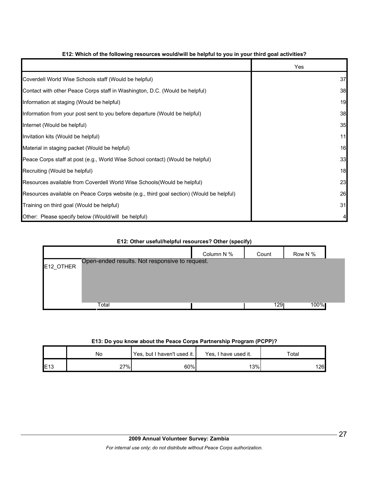|                                                                                          | Yes |
|------------------------------------------------------------------------------------------|-----|
| Coverdell World Wise Schools staff (Would be helpful)                                    | 37  |
| Contact with other Peace Corps staff in Washington, D.C. (Would be helpful)              | 38  |
| Information at staging (Would be helpful)                                                | 19  |
| Information from your post sent to you before departure (Would be helpful)               | 38  |
| Internet (Would be helpful)                                                              | 35  |
| Invitation kits (Would be helpful)                                                       | 11  |
| Material in staging packet (Would be helpful)                                            | 16  |
| Peace Corps staff at post (e.g., World Wise School contact) (Would be helpful)           | 33  |
| Recruiting (Would be helpful)                                                            | 18  |
| Resources available from Coverdell World Wise Schools(Would be helpful)                  | 23  |
| Resources available on Peace Corps website (e.g., third goal section) (Would be helpful) | 26  |
| Training on third goal (Would be helpful)                                                | 31  |
| Other: Please specify below (Would/will be helpful)                                      | 4   |

## **E12: Which of the following resources would/will be helpful to you in your third goal activities?**

| E12: Other useful/helpful resources? Other (specify) |                                                |            |       |         |  |  |  |
|------------------------------------------------------|------------------------------------------------|------------|-------|---------|--|--|--|
|                                                      |                                                | Column N % | Count | Row N % |  |  |  |
| E12 OTHER                                            | Open-ended results. Not responsive to request. |            |       |         |  |  |  |
|                                                      | Total                                          |            | 1291  | 100%    |  |  |  |

#### **E12: Other useful/helpful resources? Other (specify)**

#### **E13: Do you know about the Peace Corps Partnership Program (PCPP)?**

|                 | No  | Yes, but I haven't used it. | Yes.<br>I have used it. | Total |
|-----------------|-----|-----------------------------|-------------------------|-------|
| E <sub>13</sub> | 27% | 60%                         | 13%                     | 126   |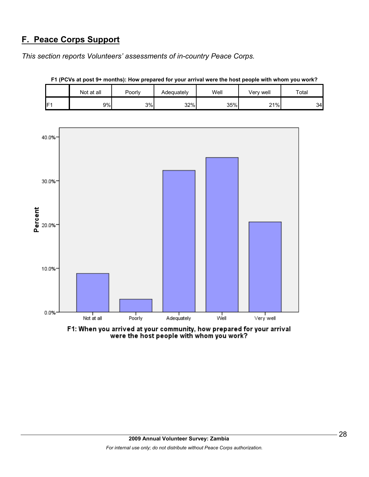# **F. Peace Corps Support**

*This section reports Volunteers' assessments of in-country Peace Corps.* 

|     | Not at all | Poorly | Adequately | Well | Very well         | Total |
|-----|------------|--------|------------|------|-------------------|-------|
| IF1 | 9%         | 3%     | 32%        | 35%  | 21%<br>$\epsilon$ | 34    |





F1: When you arrived at your community, how prepared for your arrival<br>were the host people with whom you work?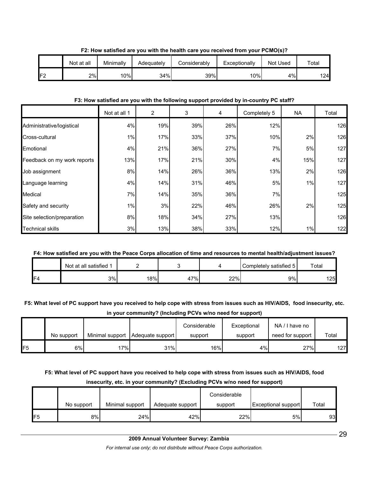|     | Not at all | Minimally | Adequately | Considerablv | Exceptionally | Not Used | Total |
|-----|------------|-----------|------------|--------------|---------------|----------|-------|
| IF2 | 2%         | 10%       | 34%        | 39%          | 10%           | 4%       | 124   |

**F2: How satisfied are you with the health care you received from your PCMO(s)?**

#### **F3: How satisfied are you with the following support provided by in-country PC staff?**

|                             | Not at all 1 | $\overline{c}$ | 3   | 4   | Completely 5 | NA.   | Total |
|-----------------------------|--------------|----------------|-----|-----|--------------|-------|-------|
| Administrative/logistical   | 4%           | 19%            | 39% | 26% | 12%          |       | 126   |
| Cross-cultural              | $1\%$        | 17%            | 33% | 37% | 10%          | 2%    | 126   |
| Emotional                   | 4%           | 21%            | 36% | 27% | 7%           | 5%    | 127   |
| Feedback on my work reports | 13%          | 17%            | 21% | 30% | 4%           | 15%   | 127   |
| Job assignment              | 8%           | 14%            | 26% | 36% | 13%          | 2%    | 126   |
| Language learning           | 4%           | 14%            | 31% | 46% | 5%           | 1%    | 127   |
| Medical                     | 7%           | 14%            | 35% | 36% | 7%           |       | 125   |
| Safety and security         | $1\%$        | 3%             | 22% | 46% | 26%          | 2%    | 125   |
| Site selection/preparation  | 8%           | 18%            | 34% | 27% | 13%          |       | 126   |
| <b>Technical skills</b>     | 3%           | 13%            | 38% | 33% | 12%          | $1\%$ | 122   |

# **F4: How satisfied are you with the Peace Corps allocation of time and resources to mental health/adjustment issues?**

|                | Not at all satisfied 1 |    |              |     | Completely satisfied 5 | Total |
|----------------|------------------------|----|--------------|-----|------------------------|-------|
| F <sub>4</sub> | 3%                     | 8% | $17\%$<br>41 | 22% | 9%                     | 125   |

## **F5: What level of PC support have you received to help cope with stress from issues such as HIV/AIDS, food insecurity, etc. in your community? (Including PCVs w/no need for support)**

|     | No support | Minimal support | Adequate support | Considerable<br>support | Exceptional<br>support | NA/I have no<br>need for support | Total |  |  |  |
|-----|------------|-----------------|------------------|-------------------------|------------------------|----------------------------------|-------|--|--|--|
|     |            |                 |                  |                         |                        |                                  |       |  |  |  |
| lF5 | 6%         | 17%             | 31%              | 16%                     | 4%                     | 27%                              | 127   |  |  |  |

**F5: What level of PC support have you received to help cope with stress from issues such as HIV/AIDS, food** 

|                |            |                 | Considerable     |         |                            |       |  |  |  |  |
|----------------|------------|-----------------|------------------|---------|----------------------------|-------|--|--|--|--|
|                | No support | Minimal support | Adequate support | support | <b>Exceptional support</b> | Total |  |  |  |  |
| F <sub>5</sub> | 8%         | 24%             | 42%              | 22%     | 5%                         | 93    |  |  |  |  |

#### **insecurity, etc. in your community? (Excluding PCVs w/no need for support)**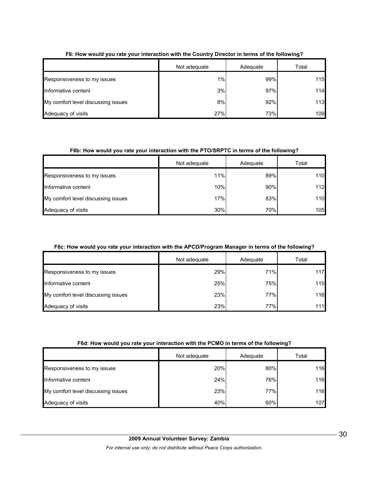|                                    | Not adequate | Adequate | Total |
|------------------------------------|--------------|----------|-------|
| Responsiveness to my issues        | 1%           | 99%      | 115   |
| Informative content                | 3%           | 97%      | 114   |
| My comfort level discussing issues | 8%           | 92%      | 113   |
| Adequacy of visits                 | 27%          | 73%      | 109   |

## **F6: How would you rate your interaction with the Country Director in terms of the following?**

#### **F6b: How would you rate your interaction with the PTO/SRPTC in terms of the following?**

|                                    | Not adequate | Adequate | Total |
|------------------------------------|--------------|----------|-------|
| Responsiveness to my issues        | 11%          | 89%      | 110   |
| Informative content                | 10%          | 90%      | 112   |
| My comfort level discussing issues | 17%          | 83%      | 110   |
| Adequacy of visits                 | 30%          | 70%      | 105   |

#### **F6c: How would you rate your interaction with the APCD/Program Manager in terms of the following?**

|                                    | Not adequate | Adequate | Total |
|------------------------------------|--------------|----------|-------|
| Responsiveness to my issues        | 29%          | 71%      | 117   |
| Informative content                | 25%          | 75%      | 115   |
| My comfort level discussing issues | 23%          | 77%      | 116   |
| Adequacy of visits                 | 23%          | 77%      | $111$ |

|                                    | Not adequate | Adequate | Total |
|------------------------------------|--------------|----------|-------|
| Responsiveness to my issues        | 20%          | 80%      | 116   |
| Informative content                | 24%          | 76%      | 116   |
| My comfort level discussing issues | 23%          | 77%      | 116   |
| Adequacy of visits                 | 40%          | 60%      | 107   |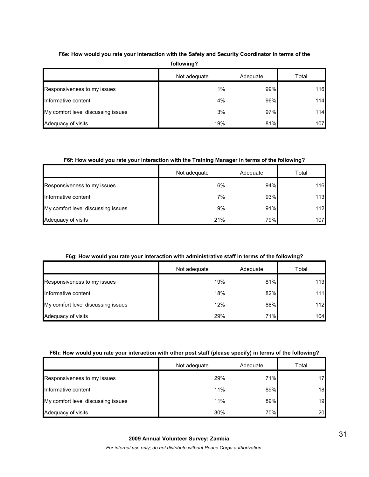| following?                         |              |          |       |  |
|------------------------------------|--------------|----------|-------|--|
|                                    | Not adequate | Adequate | Total |  |
| Responsiveness to my issues        | 1%           | 99%      | 116   |  |
| Informative content                | 4%           | 96%      | 114   |  |
| My comfort level discussing issues | 3%           | 97%      | 114   |  |
| Adequacy of visits                 | 19%          | 81%      | 107   |  |

# **F6e: How would you rate your interaction with the Safety and Security Coordinator in terms of the**

#### **F6f: How would you rate your interaction with the Training Manager in terms of the following?**

|                                    | Not adequate | Adequate | Total |
|------------------------------------|--------------|----------|-------|
| Responsiveness to my issues        | 6%           | 94%      | 116   |
| Informative content                | 7%           | 93%      | 113   |
| My comfort level discussing issues | 9%           | 91%      | $112$ |
| Adequacy of visits                 | 21%          | 79%      | 107   |

#### **F6g: How would you rate your interaction with administrative staff in terms of the following?**

|                                    | Not adequate | Adequate | Total |
|------------------------------------|--------------|----------|-------|
| Responsiveness to my issues        | 19%          | 81%      | 113   |
| Informative content                | 18%          | 82%      | 111   |
| My comfort level discussing issues | 12%          | 88%      | 112   |
| Adequacy of visits                 | 29%          | 71%      | 104   |

#### **F6h: How would you rate your interaction with other post staff (please specify) in terms of the following?**

|                                    | Not adequate | Adequate | Total |
|------------------------------------|--------------|----------|-------|
| Responsiveness to my issues        | 29%          | 71%      | 17    |
| Informative content                | 11%          | 89%      | 18    |
| My comfort level discussing issues | 11%          | 89%      | 19    |
| Adequacy of visits                 | 30%          | 70%      | 20    |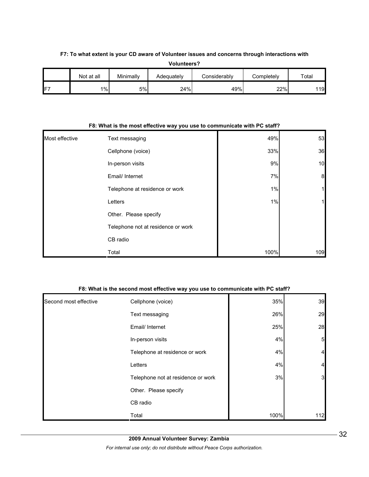#### **F7: To what extent is your CD aware of Volunteer issues and concerns through interactions with**

| <b>Volunteers?</b> |            |           |            |              |            |       |
|--------------------|------------|-----------|------------|--------------|------------|-------|
|                    | Not at all | Minimally | Adequately | Considerably | Completely | Total |
| F7                 | $1\%$      | 5%        | 24%        | 49%          | 22%        | 119   |

| Most effective | Text messaging                     | 49%   | 53  |
|----------------|------------------------------------|-------|-----|
|                | Cellphone (voice)                  | 33%   | 36  |
|                | In-person visits                   | 9%    | 10  |
|                | Email/ Internet                    | 7%    | 8   |
|                | Telephone at residence or work     | 1%    | 1   |
|                | Letters                            | $1\%$ | 1   |
|                | Other. Please specify              |       |     |
|                | Telephone not at residence or work |       |     |
|                | CB radio                           |       |     |
|                | Total                              | 100%  | 109 |

#### **F8: What is the most effective way you use to communicate with PC staff?**

#### **F8: What is the second most effective way you use to communicate with PC staff?**

| Second most effective | Cellphone (voice)                  | 35%  | 39                      |
|-----------------------|------------------------------------|------|-------------------------|
|                       | Text messaging                     | 26%  | 29                      |
|                       | Email/ Internet                    | 25%  | 28                      |
|                       | In-person visits                   | 4%   | $5\overline{a}$         |
|                       | Telephone at residence or work     | 4%   | $\overline{\mathbf{4}}$ |
|                       | Letters                            | 4%   | $\overline{4}$          |
|                       | Telephone not at residence or work | 3%   | $\mathbf{3}$            |
|                       | Other. Please specify              |      |                         |
|                       | CB radio                           |      |                         |
|                       | Total                              | 100% | 112                     |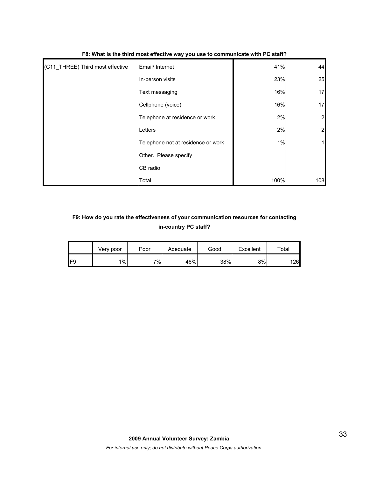| (C11_THREE) Third most effective | Email/ Internet                    | 41%  | 44             |
|----------------------------------|------------------------------------|------|----------------|
|                                  | In-person visits                   | 23%  | 25             |
|                                  | Text messaging                     | 16%  | 17             |
|                                  | Cellphone (voice)                  | 16%  | 17             |
|                                  | Telephone at residence or work     | 2%   | $\overline{2}$ |
|                                  | Letters                            | 2%   | $\overline{2}$ |
|                                  | Telephone not at residence or work | 1%   | 1              |
|                                  | Other. Please specify              |      |                |
|                                  | CB radio                           |      |                |
|                                  | Total                              | 100% | 108            |

#### **F8: What is the third most effective way you use to communicate with PC staff?**

# **F9: How do you rate the effectiveness of your communication resources for contacting in-country PC staff?**

|                | Verv poor | Poor  | Adequate | Good | Excellent | ™otal |
|----------------|-----------|-------|----------|------|-----------|-------|
| F <sub>9</sub> | 1%        | $7\%$ | 46%      | 38%  | 8%        | 126   |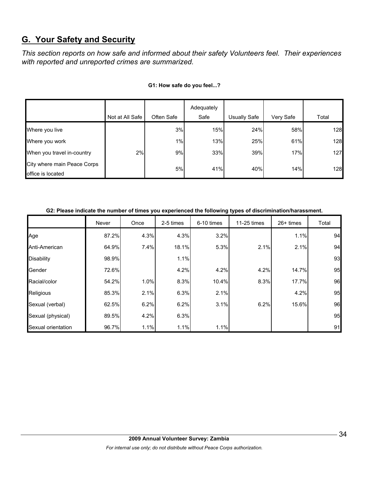# **G. Your Safety and Security**

*This section reports on how safe and informed about their safety Volunteers feel. Their experiences with reported and unreported crimes are summarized.* 

|                                                  | Not at All Safe | Often Safe | Adequately<br>Safe | Usually Safe | Very Safe | Total |
|--------------------------------------------------|-----------------|------------|--------------------|--------------|-----------|-------|
| Where you live                                   |                 | 3%         | 15%                | 24%          | 58%       | 128   |
| Where you work                                   |                 | 1%         | 13%                | 25%          | 61%       | 128   |
| When you travel in-country                       | 2%              | 9%         | 33%                | 39%          | 17%       | 127   |
| City where main Peace Corps<br>office is located |                 | 5%         | 41%                | 40%          | 14%       | 128   |

#### **G1: How safe do you feel...?**

|                    | G2: Please indicate the number of times you experienced the following types of discrimination/harassment. |      |           |            |             |             |       |
|--------------------|-----------------------------------------------------------------------------------------------------------|------|-----------|------------|-------------|-------------|-------|
|                    | Never                                                                                                     | Once | 2-5 times | 6-10 times | 11-25 times | $26+$ times | Total |
| Age                | 87.2%                                                                                                     | 4.3% | 4.3%      | 3.2%       |             | 1.1%        | 94    |
| Anti-American      | 64.9%                                                                                                     | 7.4% | 18.1%     | 5.3%       | 2.1%        | 2.1%        | 94    |
| <b>Disability</b>  | 98.9%                                                                                                     |      | 1.1%      |            |             |             | 93    |
| Gender             | 72.6%                                                                                                     |      | 4.2%      | 4.2%       | 4.2%        | 14.7%       | 95    |
| Racial/color       | 54.2%                                                                                                     | 1.0% | 8.3%      | 10.4%      | 8.3%        | 17.7%       | 96    |
| Religious          | 85.3%                                                                                                     | 2.1% | 6.3%      | 2.1%       |             | 4.2%        | 95    |
| Sexual (verbal)    | 62.5%                                                                                                     | 6.2% | 6.2%      | 3.1%       | 6.2%        | 15.6%       | 96    |
| Sexual (physical)  | 89.5%                                                                                                     | 4.2% | 6.3%      |            |             |             | 95    |
| Sexual orientation | 96.7%                                                                                                     | 1.1% | 1.1%      | 1.1%       |             |             | 91    |

**G2: Please indicate the number of times you experienced the following types of discrimination/harassment.**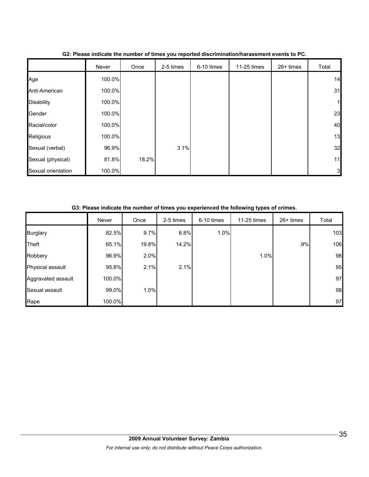|                    | Never  | Once  | 2-5 times | 6-10 times | 11-25 times | 26+ times | Total |
|--------------------|--------|-------|-----------|------------|-------------|-----------|-------|
| Age                | 100.0% |       |           |            |             |           | 14    |
| Anti-American      | 100.0% |       |           |            |             |           | 31    |
| <b>Disability</b>  | 100.0% |       |           |            |             |           |       |
| Gender             | 100.0% |       |           |            |             |           | 23    |
| Racial/color       | 100.0% |       |           |            |             |           | 40    |
| Religious          | 100.0% |       |           |            |             |           | 13    |
| Sexual (verbal)    | 96.9%  |       | 3.1%      |            |             |           | 32    |
| Sexual (physical)  | 81.8%  | 18.2% |           |            |             |           | 11    |
| Sexual orientation | 100.0% |       |           |            |             |           | 3     |

## **G2: Please indicate the number of times you reported discrimination/harassment events to PC.**

#### **G3: Please indicate the number of times you experienced the following types of crimes.**

|                    | Never  | Once  | 2-5 times | 6-10 times | 11-25 times | 26+ times | Total |
|--------------------|--------|-------|-----------|------------|-------------|-----------|-------|
| <b>Burglary</b>    | 82.5%  | 9.7%  | 6.8%      | 1.0%       |             |           | 103   |
| Theft              | 65.1%  | 19.8% | 14.2%     |            |             | .9%       | 106   |
| Robbery            | 96.9%  | 2.0%  |           |            | 1.0%        |           | 98    |
| Physical assault   | 95.8%  | 2.1%  | 2.1%      |            |             |           | 95    |
| Aggravated assault | 100.0% |       |           |            |             |           | 97    |
| Sexual assault     | 99.0%  | 1.0%  |           |            |             |           | 98    |
| Rape               | 100.0% |       |           |            |             |           | 97    |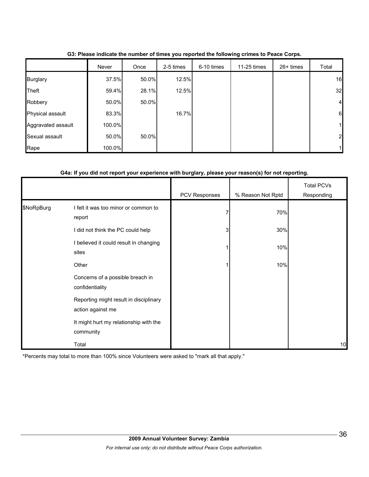|                    | Never  | Once  | 2-5 times | 6-10 times | 11-25 times | $26+$ times | Total          |
|--------------------|--------|-------|-----------|------------|-------------|-------------|----------------|
| <b>Burglary</b>    | 37.5%  | 50.0% | 12.5%     |            |             |             | 16             |
| <b>Theft</b>       | 59.4%  | 28.1% | 12.5%     |            |             |             | 32             |
| Robbery            | 50.0%  | 50.0% |           |            |             |             | $\overline{a}$ |
| Physical assault   | 83.3%  |       | 16.7%     |            |             |             | 6              |
| Aggravated assault | 100.0% |       |           |            |             |             |                |
| Sexual assault     | 50.0%  | 50.0% |           |            |             |             | $\overline{2}$ |
| Rape               | 100.0% |       |           |            |             |             |                |

**G3: Please indicate the number of times you reported the following crimes to Peace Corps.**

## **G4a: If you did not report your experience with burglary, please your reason(s) for not reporting.**

|            |                                                             | PCV Responses | % Reason Not Rptd | <b>Total PCVs</b><br>Responding |
|------------|-------------------------------------------------------------|---------------|-------------------|---------------------------------|
| \$NoRpBurg | I felt it was too minor or common to<br>report              |               | 70%               |                                 |
|            | I did not think the PC could help                           | 3             | 30%               |                                 |
|            | I believed it could result in changing<br>sites             |               | 10%               |                                 |
|            | Other                                                       |               | 10%               |                                 |
|            | Concerns of a possible breach in<br>confidentiality         |               |                   |                                 |
|            | Reporting might result in disciplinary<br>action against me |               |                   |                                 |
|            | It might hurt my relationship with the<br>community         |               |                   |                                 |
|            | Total                                                       |               |                   | 10                              |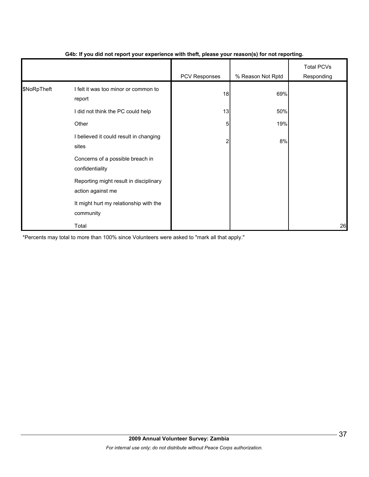|             |                                                             | - 1           | $\mathbf{v}$      |                                 |
|-------------|-------------------------------------------------------------|---------------|-------------------|---------------------------------|
|             |                                                             | PCV Responses | % Reason Not Rptd | <b>Total PCVs</b><br>Responding |
| \$NoRpTheft | I felt it was too minor or common to<br>report              | 18            | 69%               |                                 |
|             | I did not think the PC could help                           | 13            | 50%               |                                 |
|             | Other                                                       | 5             | 19%               |                                 |
|             | I believed it could result in changing<br>sites             | 2             | 8%                |                                 |
|             | Concerns of a possible breach in<br>confidentiality         |               |                   |                                 |
|             | Reporting might result in disciplinary<br>action against me |               |                   |                                 |
|             | It might hurt my relationship with the<br>community         |               |                   |                                 |
|             | Total                                                       |               |                   | 26                              |

#### **G4b: If you did not report your experience with theft, please your reason(s) for not reporting.**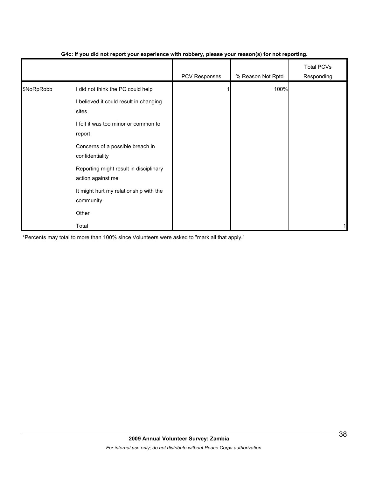|            |                                                             | PCV Responses | % Reason Not Rptd | <b>Total PCVs</b><br>Responding |
|------------|-------------------------------------------------------------|---------------|-------------------|---------------------------------|
| \$NoRpRobb | I did not think the PC could help                           |               | 100%              |                                 |
|            | I believed it could result in changing<br>sites             |               |                   |                                 |
|            | I felt it was too minor or common to<br>report              |               |                   |                                 |
|            | Concerns of a possible breach in<br>confidentiality         |               |                   |                                 |
|            | Reporting might result in disciplinary<br>action against me |               |                   |                                 |
|            | It might hurt my relationship with the<br>community         |               |                   |                                 |
|            | Other                                                       |               |                   |                                 |
|            | Total                                                       |               |                   |                                 |

#### **G4c: If you did not report your experience with robbery, please your reason(s) for not reporting.**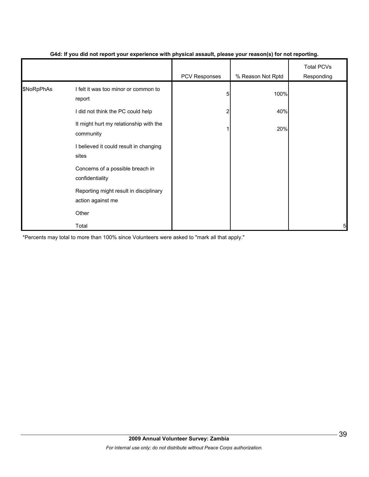|            |                                                             | . .           | $\mathbf{v}$      |                                 |
|------------|-------------------------------------------------------------|---------------|-------------------|---------------------------------|
|            |                                                             | PCV Responses | % Reason Not Rptd | <b>Total PCVs</b><br>Responding |
| \$NoRpPhAs | I felt it was too minor or common to<br>report              | 5             | 100%              |                                 |
|            | I did not think the PC could help                           | 2             | 40%               |                                 |
|            | It might hurt my relationship with the<br>community         |               | 20%               |                                 |
|            | I believed it could result in changing<br>sites             |               |                   |                                 |
|            | Concerns of a possible breach in<br>confidentiality         |               |                   |                                 |
|            | Reporting might result in disciplinary<br>action against me |               |                   |                                 |
|            | Other                                                       |               |                   |                                 |
|            | Total                                                       |               |                   | 5                               |

#### **G4d: If you did not report your experience with physical assault, please your reason(s) for not reporting.**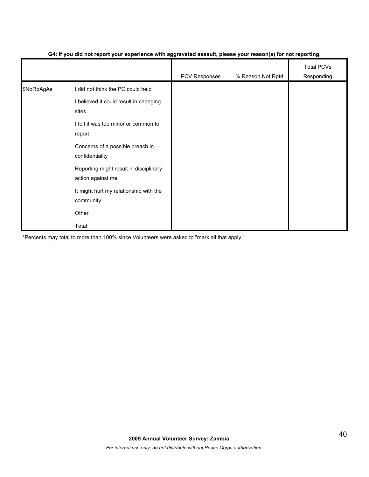|            |                                                             | ັ<br>- 1      | $\mathbf{v}$      |                                 |
|------------|-------------------------------------------------------------|---------------|-------------------|---------------------------------|
|            |                                                             | PCV Responses | % Reason Not Rptd | <b>Total PCVs</b><br>Responding |
| \$NoRpAgAs | I did not think the PC could help                           |               |                   |                                 |
|            | I believed it could result in changing<br>sites             |               |                   |                                 |
|            | I felt it was too minor or common to<br>report              |               |                   |                                 |
|            | Concerns of a possible breach in<br>confidentiality         |               |                   |                                 |
|            | Reporting might result in disciplinary<br>action against me |               |                   |                                 |
|            | It might hurt my relationship with the<br>community         |               |                   |                                 |
|            | Other                                                       |               |                   |                                 |
|            | Total                                                       |               |                   |                                 |

#### **G4: If you did not report your experience with aggravated assault, please your reason(s) for not reporting.**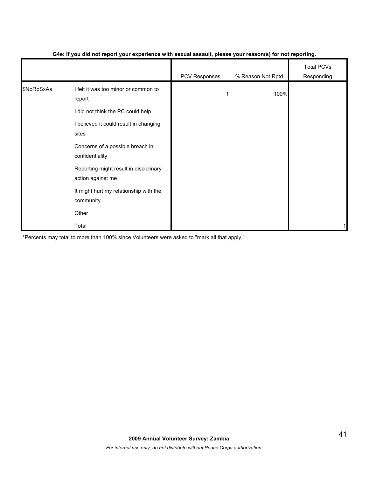|            |                                                                                                                               | - 1           | $\mathbf{v}$      |                                 |
|------------|-------------------------------------------------------------------------------------------------------------------------------|---------------|-------------------|---------------------------------|
|            |                                                                                                                               | PCV Responses | % Reason Not Rptd | <b>Total PCVs</b><br>Responding |
| \$NoRpSxAs | I felt it was too minor or common to<br>report<br>I did not think the PC could help<br>I believed it could result in changing |               | 100%              |                                 |
|            | sites                                                                                                                         |               |                   |                                 |
|            | Concerns of a possible breach in<br>confidentiality                                                                           |               |                   |                                 |
|            | Reporting might result in disciplinary<br>action against me                                                                   |               |                   |                                 |
|            | It might hurt my relationship with the<br>community                                                                           |               |                   |                                 |
|            | Other                                                                                                                         |               |                   |                                 |
|            | Total                                                                                                                         |               |                   |                                 |

#### **G4e: If you did not report your experience with sexual assault, please your reason(s) for not reporting.**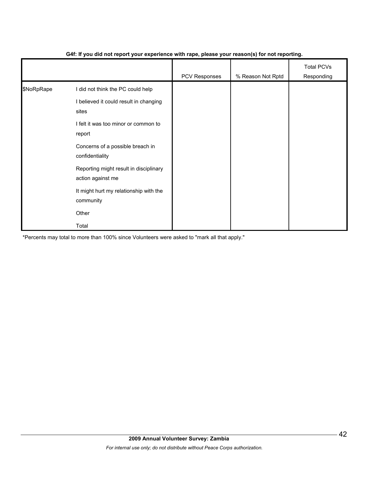|            |                                                             | .             | $\mathbf{v}$      |                                 |
|------------|-------------------------------------------------------------|---------------|-------------------|---------------------------------|
|            |                                                             | PCV Responses | % Reason Not Rptd | <b>Total PCVs</b><br>Responding |
| \$NoRpRape | I did not think the PC could help                           |               |                   |                                 |
|            | I believed it could result in changing<br>sites             |               |                   |                                 |
|            | I felt it was too minor or common to<br>report              |               |                   |                                 |
|            | Concerns of a possible breach in<br>confidentiality         |               |                   |                                 |
|            | Reporting might result in disciplinary<br>action against me |               |                   |                                 |
|            | It might hurt my relationship with the<br>community         |               |                   |                                 |
|            | Other                                                       |               |                   |                                 |
|            | Total                                                       |               |                   |                                 |

#### **G4f: If you did not report your experience with rape, please your reason(s) for not reporting.**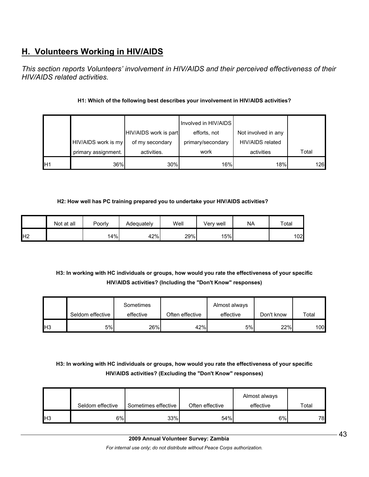# **H. Volunteers Working in HIV/AIDS**

*This section reports Volunteers' involvement in HIV/AIDS and their perceived effectiveness of their HIV/AIDS related activities.* 

## **H1: Which of the following best describes your involvement in HIV/AIDS activities?**

|     |                     |                       | Involved in HIV/AIDS |                     |       |
|-----|---------------------|-----------------------|----------------------|---------------------|-------|
|     |                     | HIV/AIDS work is part | efforts, not         | Not involved in any |       |
|     | HIV/AIDS work is my | of my secondary       | primary/secondary    | HIV/AIDS related    |       |
|     | primary assignment. | activities.           | work                 | activities          | Total |
| IH1 | 36%                 | 30%                   | 16%                  | 18%                 | 126   |

#### **H2: How well has PC training prepared you to undertake your HIV/AIDS activities?**

|                | Not at all | Poorly | Adeguatelv | Well | Verv well | <b>NA</b> | Total |
|----------------|------------|--------|------------|------|-----------|-----------|-------|
| H <sub>2</sub> |            | 14%    | 42%        | 29%  | 15%       |           | 102   |

# **H3: In working with HC individuals or groups, how would you rate the effectiveness of your specific HIV/AIDS activities? (Including the "Don't Know" responses)**

|     |                  | Sometimes |                 | Almost always |            |       |
|-----|------------------|-----------|-----------------|---------------|------------|-------|
|     | Seldom effective | effective | Often effective | effective     | Don't know | Total |
| lН3 | 5%l              | 26%       | 42%             | 5%            | 22%        | 100   |

# **H3: In working with HC individuals or groups, how would you rate the effectiveness of your specific HIV/AIDS activities? (Excluding the "Don't Know" responses)**

|            | Seldom effective | Sometimes effective | Often effective | Almost always<br>effective | Total |
|------------|------------------|---------------------|-----------------|----------------------------|-------|
| <b>IH3</b> | $6\%$            | 33%                 | 54%             | 6%                         | 78    |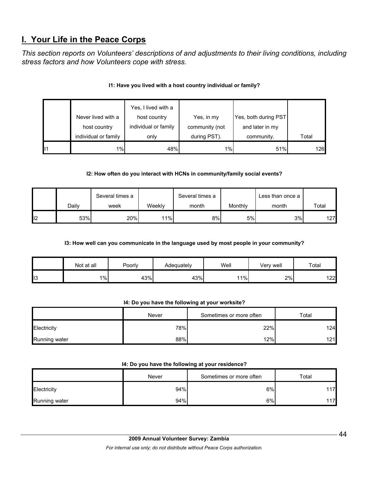# **I. Your Life in the Peace Corps**

*This section reports on Volunteers' descriptions of and adjustments to their living conditions, including stress factors and how Volunteers cope with stress.* 

|    |                      | Yes, I lived with a  |                |                      |       |
|----|----------------------|----------------------|----------------|----------------------|-------|
|    | Never lived with a   | host country         | Yes, in my     | Yes, both during PST |       |
|    | host country         | individual or family | community (not | and later in my      |       |
|    | individual or family | only                 | during PST).   | community.           | Total |
| 11 | 1%                   | 48%                  | 1%             | 51%                  | 126   |

## **I1: Have you lived with a host country individual or family?**

## **I2: How often do you interact with HCNs in community/family social events?**

|     |       | Several times a |        | Several times a |         | Less than once a |       |
|-----|-------|-----------------|--------|-----------------|---------|------------------|-------|
|     | Daily | week            | Weeklv | month           | Monthly | month            | Total |
| ll2 | 53%   | 20%             | 11%    | 8%              | 5%      | 3%               | 127   |

#### **I3: How well can you communicate in the language used by most people in your community?**

|     | Not at all | Poorly | Adequately | Well | Very well | $\tau$ otal |
|-----|------------|--------|------------|------|-----------|-------------|
| ll3 | $1\%$      | 43%    | 43%        | 11%  | 2%        | 122         |

#### **I4: Do you have the following at your worksite?**

|               | Never | Sometimes or more often | Total |
|---------------|-------|-------------------------|-------|
| Electricity   | 78%   | 22%                     | 124   |
| Running water | 88%   | 12%                     | 121   |

#### **I4: Do you have the following at your residence?**

|                      | Never | Sometimes or more often | $\tau$ otal |
|----------------------|-------|-------------------------|-------------|
| Electricity          | 94%   | 6%                      | 17          |
| <b>Running water</b> | 94%   | 6%                      | 17          |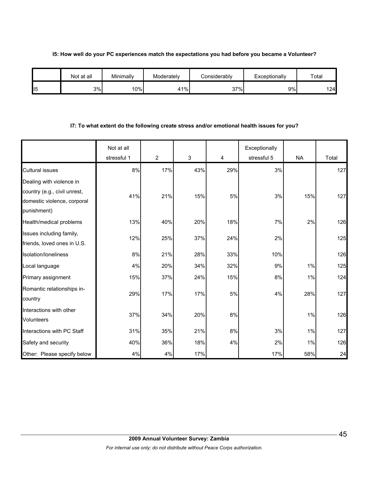#### **I5: How well do your PC experiences match the expectations you had before you became a Volunteer?**

|                 | Not at all | Minimallv | Moderately | considerablv | Exceptionally | Total |
|-----------------|------------|-----------|------------|--------------|---------------|-------|
| II <sub>5</sub> | 3%         | 10%       | 41%        | 37%          | 9%            | 124   |

#### **I7: To what extent do the following create stress and/or emotional health issues for you?**

|                                                                                                        | Not at all<br>stressful 1 | 2   | $\mathfrak{S}$ | 4   | Exceptionally<br>stressful 5 | <b>NA</b> | Total |
|--------------------------------------------------------------------------------------------------------|---------------------------|-----|----------------|-----|------------------------------|-----------|-------|
| <b>Cultural issues</b>                                                                                 | 8%                        | 17% | 43%            | 29% | 3%                           |           | 127   |
| Dealing with violence in<br>country (e.g., civil unrest,<br>domestic violence, corporal<br>punishment) | 41%                       | 21% | 15%            | 5%  | 3%                           | 15%       | 127   |
| Health/medical problems                                                                                | 13%                       | 40% | 20%            | 18% | 7%                           | 2%        | 126   |
| Issues including family,<br>friends, loved ones in U.S.                                                | 12%                       | 25% | 37%            | 24% | 2%                           |           | 125   |
| Isolation/loneliness                                                                                   | 8%                        | 21% | 28%            | 33% | 10%                          |           | 126   |
| Local language                                                                                         | 4%                        | 20% | 34%            | 32% | 9%                           | 1%        | 125   |
| Primary assignment                                                                                     | 15%                       | 37% | 24%            | 15% | 8%                           | 1%        | 124   |
| Romantic relationships in-<br>country                                                                  | 29%                       | 17% | 17%            | 5%  | 4%                           | 28%       | 127   |
| Interactions with other<br>Volunteers                                                                  | 37%                       | 34% | 20%            | 8%  |                              | 1%        | 126   |
| Interactions with PC Staff                                                                             | 31%                       | 35% | 21%            | 8%  | 3%                           | 1%        | 127   |
| Safety and security                                                                                    | 40%                       | 36% | 18%            | 4%  | 2%                           | 1%        | 126   |
| Other: Please specify below                                                                            | 4%                        | 4%  | 17%            |     | 17%                          | 58%       | 24    |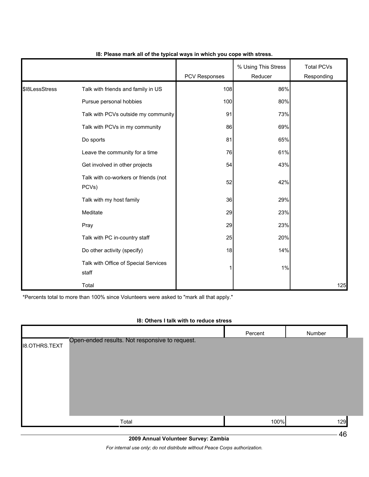|                |                                               | PCV Responses | % Using This Stress<br>Reducer | <b>Total PCVs</b><br>Responding |
|----------------|-----------------------------------------------|---------------|--------------------------------|---------------------------------|
| \$18LessStress | Talk with friends and family in US            | 108           | 86%                            |                                 |
|                | Pursue personal hobbies                       | 100           | 80%                            |                                 |
|                | Talk with PCVs outside my community           | 91            | 73%                            |                                 |
|                | Talk with PCVs in my community                | 86            | 69%                            |                                 |
|                | Do sports                                     | 81            | 65%                            |                                 |
|                | Leave the community for a time                | 76            | 61%                            |                                 |
|                | Get involved in other projects                | 54            | 43%                            |                                 |
|                | Talk with co-workers or friends (not<br>PCVs) | 52            | 42%                            |                                 |
|                | Talk with my host family                      | 36            | 29%                            |                                 |
|                | Meditate                                      | 29            | 23%                            |                                 |
|                | Pray                                          | 29            | 23%                            |                                 |
|                | Talk with PC in-country staff                 | 25            | 20%                            |                                 |
|                | Do other activity (specify)                   | 18            | 14%                            |                                 |
|                | Talk with Office of Special Services<br>staff | 1             | 1%                             |                                 |
|                | Total                                         |               |                                | 125                             |

#### **I8: Please mark all of the typical ways in which you cope with stress.**

\*Percents total to more than 100% since Volunteers were asked to "mark all that apply."

#### **I8: Others I talk with to reduce stress**

|                      |                                                | Percent | Number |  |
|----------------------|------------------------------------------------|---------|--------|--|
| <b>I8.OTHRS.TEXT</b> | Open-ended results. Not responsive to request. |         |        |  |
|                      |                                                |         |        |  |
|                      |                                                |         |        |  |
|                      |                                                |         |        |  |
|                      | Total                                          | 100%    | 129    |  |

**2009 Annual Volunteer Survey: Zambia** 

*For internal use only; do not distribute without Peace Corps authorization.*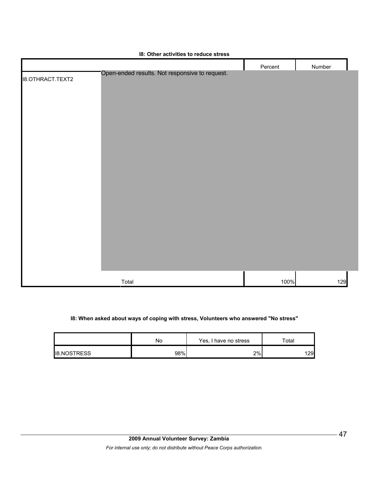|                         | $101$ cannot don't have to request on occur    |         |        |
|-------------------------|------------------------------------------------|---------|--------|
|                         |                                                | Percent | Number |
| <b>I8.OTHRACT.TEXT2</b> | Open-ended results. Not responsive to request. |         |        |
|                         |                                                |         |        |
|                         |                                                |         |        |
|                         |                                                |         |        |
|                         |                                                |         |        |
|                         |                                                |         |        |
|                         |                                                |         |        |
|                         |                                                |         |        |
|                         |                                                |         |        |
|                         |                                                |         |        |
|                         |                                                |         |        |
|                         |                                                |         |        |
|                         |                                                |         |        |
|                         |                                                |         |        |
|                         |                                                |         |        |
|                         |                                                |         |        |
|                         |                                                |         |        |
|                         |                                                |         |        |
|                         |                                                |         |        |
|                         |                                                |         |        |
|                         |                                                |         |        |
|                         |                                                |         |        |
|                         | Total                                          | 100%    | 129    |

# **I8: Other activities to reduce stress**

#### **I8: When asked about ways of coping with stress, Volunteers who answered "No stress"**

|                    | No  | Yes, I have no stress | $\tau$ otal |
|--------------------|-----|-----------------------|-------------|
| <b>I8.NOSTRESS</b> | 98% | 2%                    | 29          |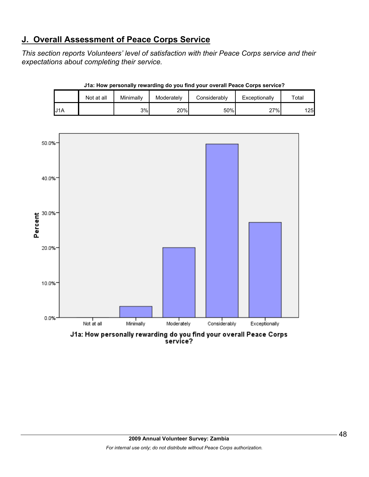# **J. Overall Assessment of Peace Corps Service**

10.0%

0.0%

*This section reports Volunteers' level of satisfaction with their Peace Corps service and their expectations about completing their service.* 

|     | Not at all | Minimally | Moderately | Considerably | Exceptionally | Total |
|-----|------------|-----------|------------|--------------|---------------|-------|
| J1A |            | 3%        | 20%        | 50%          | 27%           | 125   |



Minimally

Not at all

**J1a: How personally rewarding do you find your overall Peace Corps service?**

Moderately

J1a: How personally rewarding do you find your overall Peace Corps service?

Considerably

Exceptionally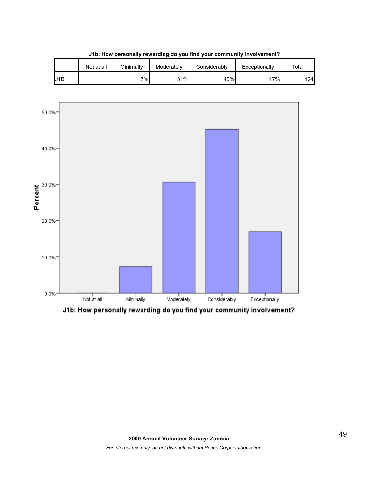

**J1b: How personally rewarding do you find your community involvement?**



J1b: How personally rewarding do you find your community involvement?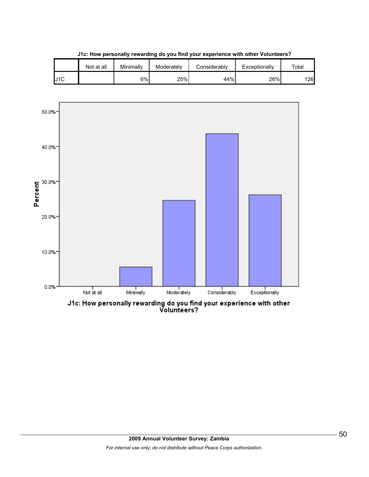



J1c: How personally rewarding do you find your experience with other<br>Volunteers?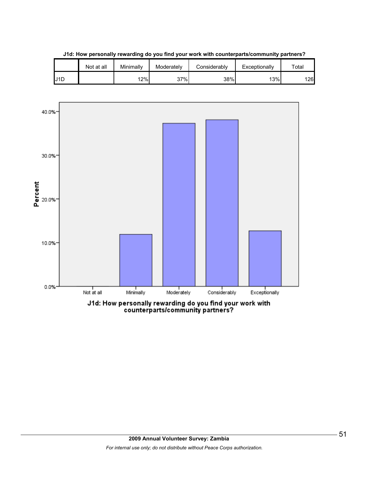

**J1d: How personally rewarding do you find your work with counterparts/community partners?**



counterparts/community partners?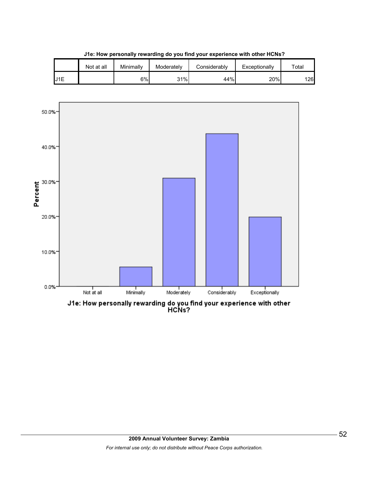



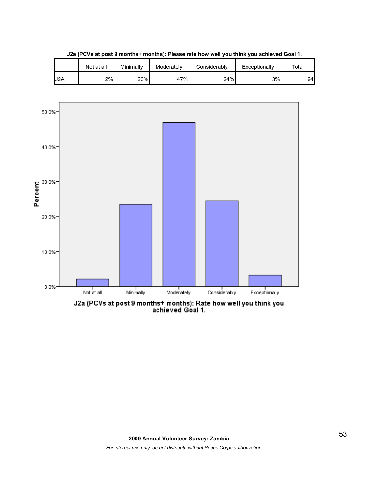





J2a (PCVs at post 9 months+ months): Rate how well you think you<br>achieved Goal 1.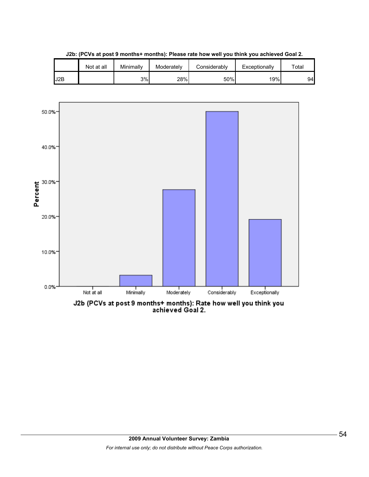

**J2b: (PCVs at post 9 months+ months): Please rate how well you think you achieved Goal 2.**



J2b (PCVs at post 9 months+ months): Rate how well you think you<br>achieved Goal 2.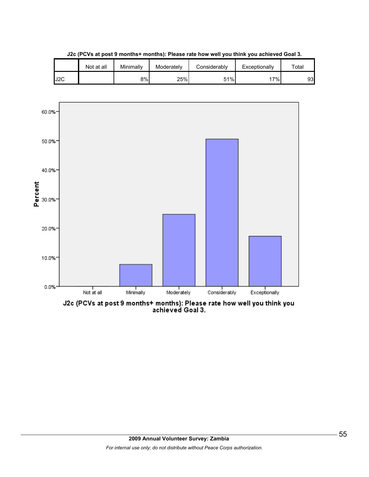





J2c (PCVs at post 9 months+ months): Please rate how well you think you<br>achieved Goal 3.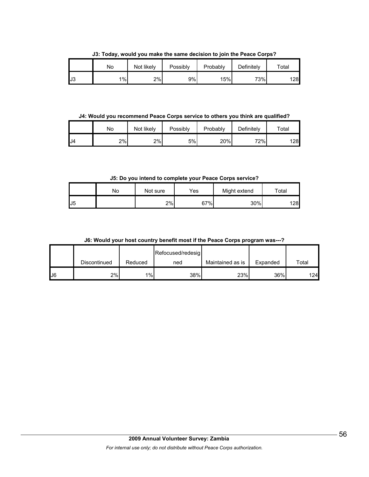**J3: Today, would you make the same decision to join the Peace Corps?**

|     | No | Not likely | Possibly | Probably | Definitely | $\mathsf{^{To}tal}$ |
|-----|----|------------|----------|----------|------------|---------------------|
| IJЗ | 1% | 2%         | 9%       | 15%      | 73%        | 128                 |

**J4: Would you recommend Peace Corps service to others you think are qualified?**

|     | No | Not likely | Possibly | Probably | Definitely | $\tau$ otal |
|-----|----|------------|----------|----------|------------|-------------|
| .J4 | 2% | 2%         | 5%       | 20%      | 72%        | 128         |

**J5: Do you intend to complete your Peace Corps service?**

|                | No | Not sure | Yes | Might extend | $\tau$ otal |
|----------------|----|----------|-----|--------------|-------------|
| J <sub>5</sub> |    | 2%       | 67% | 30%          | 128         |

**J6: Would your host country benefit most if the Peace Corps program was---?**

|               |              |         | Refocused/redesig |                  |          |       |
|---------------|--------------|---------|-------------------|------------------|----------|-------|
|               | Discontinued | Reduced | ned               | Maintained as is | Expanded | Total |
| $\mathsf{U}6$ | 2%           | 1%      | 38%               | 23%              | 36%      | 124   |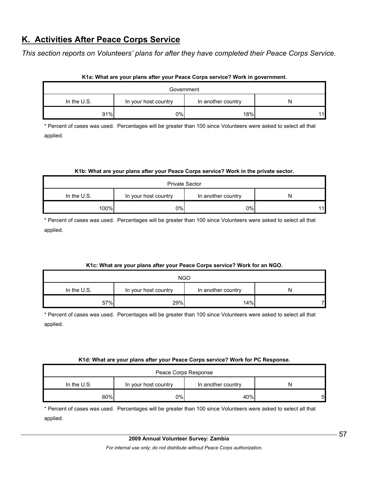# **K. Activities After Peace Corps Service**

*This section reports on Volunteers' plans for after they have completed their Peace Corps Service.* 

| Government    |                      |                    |    |  |  |
|---------------|----------------------|--------------------|----|--|--|
| In the $U.S.$ | In your host country | In another country |    |  |  |
| 91%           | 0%                   | 18%                | 11 |  |  |

#### **K1a: What are your plans after your Peace Corps service? Work in government.**

\* Percent of cases was used. Percentages will be greater than 100 since Volunteers were asked to select all that applied.

#### **K1b: What are your plans after your Peace Corps service? Work in the private sector.**

| <b>Private Sector</b> |                      |                    |    |  |  |
|-----------------------|----------------------|--------------------|----|--|--|
| In the U.S.           | In your host country | In another country | N  |  |  |
| 100%                  | 0%l                  | 0%                 | 11 |  |  |

\* Percent of cases was used. Percentages will be greater than 100 since Volunteers were asked to select all that applied.

#### **K1c: What are your plans after your Peace Corps service? Work for an NGO.**

| <b>NGO</b>  |                      |                    |   |  |  |
|-------------|----------------------|--------------------|---|--|--|
| In the U.S. | In your host country | In another country | N |  |  |
| 57%         | 29%                  | 14%                |   |  |  |

\* Percent of cases was used. Percentages will be greater than 100 since Volunteers were asked to select all that applied.

#### **K1d: What are your plans after your Peace Corps service? Work for PC Response.**

| Peace Corps Response                                             |     |     |  |  |
|------------------------------------------------------------------|-----|-----|--|--|
| In the $U.S.$<br>In your host country<br>In another country<br>N |     |     |  |  |
| 60%                                                              | 0%l | 40% |  |  |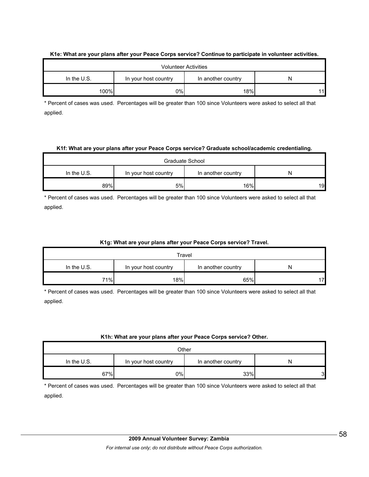|               |                      | <b>Volunteer Activities</b> |   |
|---------------|----------------------|-----------------------------|---|
| In the $U.S.$ | In your host country | In another country          | N |
| 100%          | 0%l                  | 18%                         |   |

#### **K1e: What are your plans after your Peace Corps service? Continue to participate in volunteer activities.**

\* Percent of cases was used. Percentages will be greater than 100 since Volunteers were asked to select all that applied.

#### **K1f: What are your plans after your Peace Corps service? Graduate school/academic credentialing.**

| Graduate School                                                  |     |     |    |  |
|------------------------------------------------------------------|-----|-----|----|--|
| In the $U.S.$<br>In your host country<br>In another country<br>N |     |     |    |  |
| 89%                                                              | 5%l | 16% | 19 |  |

\* Percent of cases was used. Percentages will be greater than 100 since Volunteers were asked to select all that applied.

#### **K1g: What are your plans after your Peace Corps service? Travel.**

| Travel                                                           |     |     |   |  |
|------------------------------------------------------------------|-----|-----|---|--|
| In the $U.S.$<br>In another country<br>In your host country<br>N |     |     |   |  |
| 71%                                                              | 18% | 65% | 7 |  |

\* Percent of cases was used. Percentages will be greater than 100 since Volunteers were asked to select all that applied.

#### **K1h: What are your plans after your Peace Corps service? Other.**

| Other                                                     |    |     |   |  |
|-----------------------------------------------------------|----|-----|---|--|
| In the U.S.<br>In another country<br>In your host country |    |     |   |  |
| 67%                                                       | 0% | 33% | 3 |  |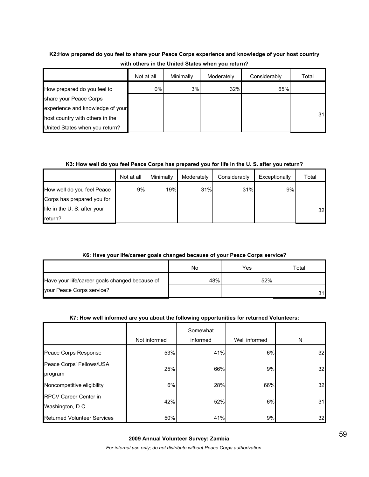# **K2:How prepared do you feel to share your Peace Corps experience and knowledge of your host country with others in the United States when you return?**

|                                  | Not at all | Minimally | Moderately | Considerably | Total |
|----------------------------------|------------|-----------|------------|--------------|-------|
| How prepared do you feel to      | 0%         | 3%        | 32%        | 65%          |       |
| share your Peace Corps           |            |           |            |              |       |
| experience and knowledge of your |            |           |            |              |       |
| host country with others in the  |            |           |            |              | 31    |
| United States when you return?   |            |           |            |              |       |

## **K3: How well do you feel Peace Corps has prepared you for life in the U. S. after you return?**

|                             | Not at all | Minimally | Moderately | Considerably | Exceptionally | Total |
|-----------------------------|------------|-----------|------------|--------------|---------------|-------|
| How well do you feel Peace  | 9%         | 19%       | 31%        | 31%          | 9%            |       |
| Corps has prepared you for  |            |           |            |              |               |       |
| life in the U.S. after your |            |           |            |              |               | 32    |
| return?                     |            |           |            |              |               |       |

# **K6: Have your life/career goals changed because of your Peace Corps service?**

|                                                | No  | Yes | Total |
|------------------------------------------------|-----|-----|-------|
| Have your life/career goals changed because of | 48% | 52% |       |
| your Peace Corps service?                      |     |     | ۹1    |

# **K7: How well informed are you about the following opportunities for returned Volunteers:**

|                                                  | Not informed | Somewhat<br>informed | Well informed | N  |
|--------------------------------------------------|--------------|----------------------|---------------|----|
| Peace Corps Response                             | 53%          | 41%                  | 6%            | 32 |
| Peace Corps' Fellows/USA<br>program              | 25%          | 66%                  | 9%            | 32 |
| Noncompetitive eligibility                       | 6%           | 28%                  | 66%           | 32 |
| <b>RPCV Career Center in</b><br>Washington, D.C. | 42%          | 52%                  | 6%            | 31 |
| <b>Returned Volunteer Services</b>               | 50%          | 41%                  | 9%            | 32 |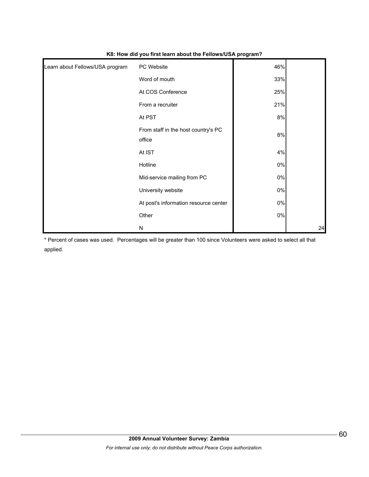| Learn about Fellows/USA program | PC Website                                    | 46%   |    |
|---------------------------------|-----------------------------------------------|-------|----|
|                                 | Word of mouth                                 | 33%   |    |
|                                 | At COS Conference                             | 25%   |    |
|                                 | From a recruiter                              | 21%   |    |
|                                 | At PST                                        | 8%    |    |
|                                 | From staff in the host country's PC<br>office | $8\%$ |    |
|                                 | At IST                                        | 4%    |    |
|                                 | Hotline                                       | $0\%$ |    |
|                                 | Mid-service mailing from PC                   | 0%    |    |
|                                 | University website                            | $0\%$ |    |
|                                 | At post's information resource center         | $0\%$ |    |
|                                 | Other                                         | $0\%$ |    |
|                                 | N                                             |       | 24 |

#### **K8: How did you first learn about the Fellows/USA program?**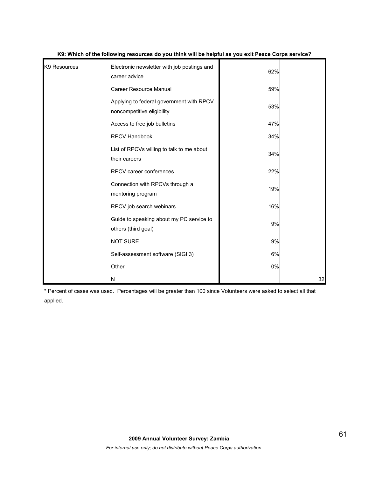| K9 Resources | Electronic newsletter with job postings and<br>career advice           | 62% |    |
|--------------|------------------------------------------------------------------------|-----|----|
|              | <b>Career Resource Manual</b>                                          | 59% |    |
|              | Applying to federal government with RPCV<br>noncompetitive eligibility | 53% |    |
|              | Access to free job bulletins                                           | 47% |    |
|              | RPCV Handbook                                                          | 34% |    |
|              | List of RPCVs willing to talk to me about<br>their careers             | 34% |    |
|              | RPCV career conferences                                                | 22% |    |
|              | Connection with RPCVs through a<br>mentoring program                   | 19% |    |
|              | RPCV job search webinars                                               | 16% |    |
|              | Guide to speaking about my PC service to<br>others (third goal)        | 9%  |    |
|              | <b>NOT SURE</b>                                                        | 9%  |    |
|              | Self-assessment software (SIGI 3)                                      | 6%  |    |
|              | Other                                                                  | 0%  |    |
|              | N                                                                      |     | 32 |

#### **K9: Which of the following resources do you think will be helpful as you exit Peace Corps service?**